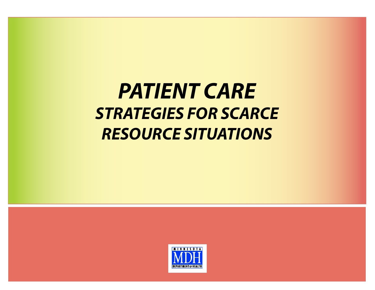# **PATIENT CARE STRATEGIES FOR SCARCE RESOURCE SITUATIONS**

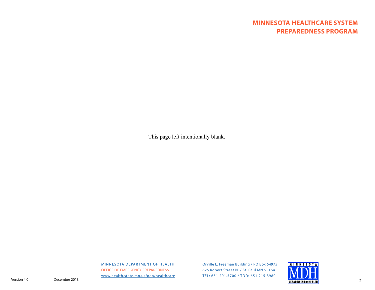# **MINNESOTA HEALTHCARE SYSTEM PREPAREDNESS PROGRAM**

This page left intentionally blank.

MINNESOTA DEPARTMENT OF HEALTH OFFICE OF EMERGENCY PREPAREDNESSwww.health.state.mn.us/oep/healthcare

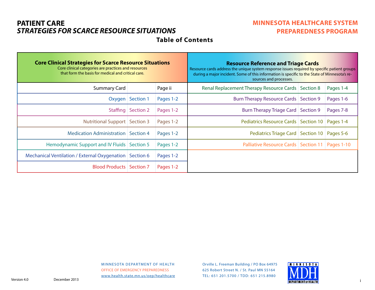# **PATIENT CARE STRATEGIES FOR SCARCE RESOURCE SITUATIONS**

# **MINNESOTA HEALTHCARE SYSTEM PREPAREDNESS PROGRAM**

### **Table of Contents**

| <b>Core Clinical Strategies for Scarce Resource Situations</b><br>Core clinical categories are practices and resources<br>that form the basis for medical and critical care. |                      |           | <b>Resource Reference and Triage Cards</b><br>Resource cards address the unique system response issues required by specific patient groups<br>during a major incident. Some of this information is specific to the State of Minnesota's re-<br>sources and processes. |           |
|------------------------------------------------------------------------------------------------------------------------------------------------------------------------------|----------------------|-----------|-----------------------------------------------------------------------------------------------------------------------------------------------------------------------------------------------------------------------------------------------------------------------|-----------|
| <b>Summary Card</b>                                                                                                                                                          |                      | Page ii   | Renal Replacement Therapy Resource Cards Section 8                                                                                                                                                                                                                    | Pages 1-4 |
|                                                                                                                                                                              | Oxygen Section 1     | Pages 1-2 | Burn Therapy Resource Cards Section 9                                                                                                                                                                                                                                 | Pages 1-6 |
|                                                                                                                                                                              | Staffing   Section 2 | Pages 1-2 | Burn Therapy Triage Card   Section 9                                                                                                                                                                                                                                  | Pages 7-8 |
| Nutritional Support Section 3                                                                                                                                                |                      | Pages 1-2 | Pediatrics Resource Cards   Section 10   Pages 1-4                                                                                                                                                                                                                    |           |
| Medication Administration   Section 4                                                                                                                                        |                      | Pages 1-2 | Pediatrics Triage Card   Section 10   Pages 5-6                                                                                                                                                                                                                       |           |
| Hemodynamic Support and IV Fluids Section 5                                                                                                                                  |                      | Pages 1-2 | Palliative Resource Cards   Section 11   Pages 1-10                                                                                                                                                                                                                   |           |
| Mechanical Ventilation / External Oxygenation   Section 6                                                                                                                    |                      | Pages 1-2 |                                                                                                                                                                                                                                                                       |           |
| <b>Blood Products Section 7</b>                                                                                                                                              |                      | Pages 1-2 |                                                                                                                                                                                                                                                                       |           |



i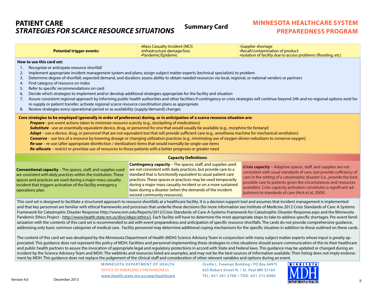# **PATIENT CARE STRATEGIES FOR SCARCE RESOURCE SITUATIONS**

### **Summary Card**

# **MINNESOTA HEALTHCARE SYSTEM PREPAREDNESS PROGRAM**

| •Mass Casualty Incident (MCI)<br>•Supplier shortage<br>•Recall/contamination of product<br><b>Potential trigger events:</b><br>Infrastructure damage/loss<br>•Isolation of facility due to access problems (flooding, etc)<br>•Pandemic/Epidemic |                                                                                                                                                              |                                                                                                                                                                                                |  |  |  |  |
|--------------------------------------------------------------------------------------------------------------------------------------------------------------------------------------------------------------------------------------------------|--------------------------------------------------------------------------------------------------------------------------------------------------------------|------------------------------------------------------------------------------------------------------------------------------------------------------------------------------------------------|--|--|--|--|
| How to use this card set:                                                                                                                                                                                                                        |                                                                                                                                                              |                                                                                                                                                                                                |  |  |  |  |
| Recognize or anticipate resource shortfall                                                                                                                                                                                                       |                                                                                                                                                              |                                                                                                                                                                                                |  |  |  |  |
|                                                                                                                                                                                                                                                  | Implement appropriate incident management system and plans; assign subject matter experts (technical specialists) to problem                                 |                                                                                                                                                                                                |  |  |  |  |
|                                                                                                                                                                                                                                                  | Determine degree of shortfall, expected demand, and duration; assess ability to obtain needed resources via local, regional, or national vendors or partners |                                                                                                                                                                                                |  |  |  |  |
| Find category of resource on index                                                                                                                                                                                                               |                                                                                                                                                              |                                                                                                                                                                                                |  |  |  |  |
| Refer to specific recommendations on card                                                                                                                                                                                                        |                                                                                                                                                              |                                                                                                                                                                                                |  |  |  |  |
| 6.                                                                                                                                                                                                                                               | Decide which strategies to implement and/or develop additional strategies appropriate for the facility and situation                                         |                                                                                                                                                                                                |  |  |  |  |
|                                                                                                                                                                                                                                                  |                                                                                                                                                              | Assure consistent regional approach by informing public health authorities and other facilities if contingency or crisis strategies will continue beyond 24h and no regional options exist for |  |  |  |  |
|                                                                                                                                                                                                                                                  | re-supply or patient transfer; activate regional scarce resource coordination plans as appropriate                                                           |                                                                                                                                                                                                |  |  |  |  |
| 8.                                                                                                                                                                                                                                               | Review strategies every operational period or as availability (supply/demand) changes                                                                        |                                                                                                                                                                                                |  |  |  |  |
|                                                                                                                                                                                                                                                  | Core strategies to be employed (generally in order of preference) during, or in anticipation of a scarce resource situation are:                             |                                                                                                                                                                                                |  |  |  |  |
|                                                                                                                                                                                                                                                  | <b>Prepare</b> - pre-event actions taken to minimize resource scarcity (e.g., stockpiling of medications)                                                    |                                                                                                                                                                                                |  |  |  |  |
|                                                                                                                                                                                                                                                  | <b>Substitute</b> - use an essentially equivalent device, drug, or personnel for one that would usually be available (e.g., morphine for fentanyl)           |                                                                                                                                                                                                |  |  |  |  |
|                                                                                                                                                                                                                                                  | Adapt – use a device, drug, or personnel that are not equivalent but that will provide sufficient care (e.g., anesthesia machine for mechanical ventilation) |                                                                                                                                                                                                |  |  |  |  |

**Conserve** – use less of a resource by lowering dosage or changing utilization practices (e.g., minimizing use of oxygen driven nebulizers to conserve oxygen)

**Re-use** – re-use (after appropriate disinfection / sterilization) items that would normally be single-use items

**Re-allocate** – restrict or prioritize use of resources to those patients with a better prognosis or greater need

#### **Capacity Definitions:**

**Conventional capacity** – The spaces, staff, and supplies used are consistent with daily practices within the institution. These spaces and practices are used during a major mass casualty incident that triggers activation of the facility emergency operations plan.

**Contingency capacity** – The spaces, staff, and supplies used are not consistent with daily practices, but provide care to a standard that is functionally equivalent to usual patient care practices. These spaces or practices may be used temporarily during a major mass casualty incident or on a more sustained basis during a disaster (when the demands of the incident exceed community resources).

**Crisis capacity** – Adaptive spaces, staff, and supplies are not consistent with usual standards of care, but provide sufficiency of care in the setting of a catastrophic disaster (i.e., provide the best possible care to patients given the circumstances and resources available). Crisis capacity activation constitutes a significant adjustment to standards of care (Hick et al. 2009).

This card set is designed to facilitate a structured approach to resource shortfalls at a healthcare facility. It is a decision support tool and assumes that incident management is implemented and that key personnel are familiar with ethical frameworks and processes that underlie these decisions (for more information see Institute of Medicine 2012 Crisis Standards of Care: A Systems Framework for Catastrophic Disaster Response http://www.iom.edu/Reports/2012/Crisis-Standards-of-Care-A-Systems-Framework-for-Catastrophic-Disaster-Response.aspx and the Minnesota Pandemic Ethics Project - http://www.health.state.mn.us/divs/idepc/ethics/). Each facility will have to determine the most appropriate steps to take to address specific shortages. Pre-event familiarization with the contents of this card set is recommended to aid with event preparedness and anticipation of specific resource shortfalls. The cards do not provide comprehensive quidance, addressing only basic common categories of medical care. Facility personnel may determine additional coping mechanisms for the specific situation in addition to those outlined on these cards.

The content of this card set was developed by the Minnesota Department of Health (MDH) Science Advisory Team in conjunction with many subject matter experts whose input is greatly appreciated. This guidance does not represent the policy of MDH. Facilities and personnel implementing these strategies in crisis situations should assure communication of this to their healthcare and public health partners to assure the invocation of appropriate legal and regulatory protections in accord with State and Federal laws. This guidance may be updated or changed during an incident by the Science Advisory Team and MDH. The weblinks and resources listed are examples, and may not be the best sources of information available. Their listing does not imply endorsement by MDH. This guidance does not replace the judgement of the clinical staff and consideration of other relevant variables and options during an event.

> MINNESOTA DEPARTMENT OF HEALTH OFFICE OF EMERGENCY PREPAREDNESSwww.health.state.mn.us/oep/healthcare

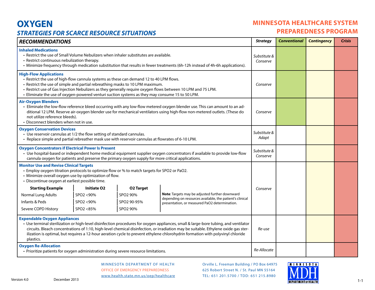# **OXYGENSTRATEGIES FOR SCARCE RESOURCE SITUATIONS**

### **MINNESOTA HEALTHCARE SYSTEM PREPAREDNESS PROGRAM**

| <b>RECOMMENDATIONS</b>                                                                                                                                                                                                                                                                                                                                                                                                                                           |                    |                  |                                                                                                           | <b>Strategy</b>          | <b>Conventional</b> | <b>Contingency</b> | <b>Crisis</b> |
|------------------------------------------------------------------------------------------------------------------------------------------------------------------------------------------------------------------------------------------------------------------------------------------------------------------------------------------------------------------------------------------------------------------------------------------------------------------|--------------------|------------------|-----------------------------------------------------------------------------------------------------------|--------------------------|---------------------|--------------------|---------------|
| <b>Inhaled Medications</b><br>• Restrict the use of Small Volume Nebulizers when inhaler substitutes are available.<br>Substitute &<br>• Restrict continuous nebulization therapy.<br>• Minimize frequency through medication substitution that results in fewer treatments (6h-12h instead of 4h-6h applications).                                                                                                                                              |                    |                  |                                                                                                           |                          |                     |                    |               |
| <b>High-Flow Applications</b><br>• Restrict the use of high-flow cannula systems as these can demand 12 to 40 LPM flows.<br>• Restrict the use of simple and partial rebreathing masks to 10 LPM maximum.<br>· Restrict use of Gas Injection Nebulizers as they generally require oxygen flows between 10 LPM and 75 LPM.<br>• Eliminate the use of oxygen-powered venturi suction systems as they may consume 15 to 50 LPM.                                     |                    |                  |                                                                                                           | Conserve                 |                     |                    |               |
| <b>Air-Oxygen Blenders</b><br>• Eliminate the low-flow reference bleed occurring with any low-flow metered oxygen blender use. This can amount to an ad-<br>ditional 12 LPM. Reserve air-oxygen blender use for mechanical ventilators using high-flow non-metered outlets. (These do<br>not utilize reference bleeds).<br>• Disconnect blenders when not in use.                                                                                                |                    |                  |                                                                                                           | Conserve                 |                     |                    |               |
| <b>Oxygen Conservation Devices</b><br>• Use reservoir cannulas at 1/2 the flow setting of standard cannulas.<br>• Replace simple and partial rebreather mask use with reservoir cannulas at flowrates of 6-10 LPM.                                                                                                                                                                                                                                               |                    |                  |                                                                                                           | Substitute &<br>Adapt    |                     |                    |               |
| <b>Oxygen Concentrators if Electrical Power Is Present</b><br>• Use hospital-based or independent home medical equipment supplier oxygen concentrators if available to provide low-flow<br>cannula oxygen for patients and preserve the primary oxygen supply for more critical applications.                                                                                                                                                                    |                    |                  |                                                                                                           | Substitute &<br>Conserve |                     |                    |               |
| <b>Monitor Use and Revise Clinical Targets</b><br>• Employ oxygen titration protocols to optimize flow or % to match targets for SPO2 or PaO2.<br>• Minimize overall oxygen use by optimization of flow.<br>· Discontinue oxygen at earliest possible time.                                                                                                                                                                                                      |                    |                  |                                                                                                           |                          |                     |                    |               |
| <b>Starting Example</b>                                                                                                                                                                                                                                                                                                                                                                                                                                          | <b>Initiate O2</b> | <b>O2 Target</b> |                                                                                                           | Conserve                 |                     |                    |               |
| Normal Lung Adults                                                                                                                                                                                                                                                                                                                                                                                                                                               | SPO2 <90%          | SPO2 90%         | Note: Targets may be adjusted further downward                                                            |                          |                     |                    |               |
| Infants & Peds                                                                                                                                                                                                                                                                                                                                                                                                                                                   | SPO2 <90%          | SPO2 90-95%      | depending on resources available, the patient's clinical<br>presentation, or measured PaO2 determination. |                          |                     |                    |               |
| Severe COPD History                                                                                                                                                                                                                                                                                                                                                                                                                                              | SPO2 <85%          | SPO2 90%         |                                                                                                           |                          |                     |                    |               |
| <b>Expendable Oxygen Appliances</b><br>• Use terminal sterilization or high-level disinfection procedures for oxygen appliances, small & large-bore tubing, and ventilator<br>circuits. Bleach concentrations of 1:10, high-level chemical disinfection, or irradiation may be suitable. Ethylene oxide gas ster-<br>ilization is optimal, but requires a 12-hour aeration cycle to prevent ethylene chlorohydrin formation with polyvinyl chloride<br>plastics. |                    |                  |                                                                                                           | Re-use                   |                     |                    |               |
| <b>Oxygen Re-Allocation</b><br>• Prioritize patients for oxygen administration during severe resource limitations.                                                                                                                                                                                                                                                                                                                                               |                    |                  |                                                                                                           | Re-Allocate              |                     |                    |               |

#### MINNESOTA DEPARTMENT OF HEALTH OFFICE OF EMERGENCY PREPAREDNESSwww.health.state.mn.us/oep/healthcare

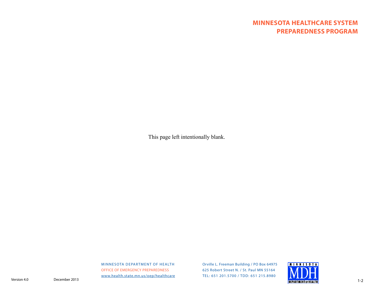# **MINNESOTA HEALTHCARE SYSTEM PREPAREDNESS PROGRAM**

This page left intentionally blank.

MINNESOTA DEPARTMENT OF HEALTH OFFICE OF EMERGENCY PREPAREDNESSwww.health.state.mn.us/oep/healthcare

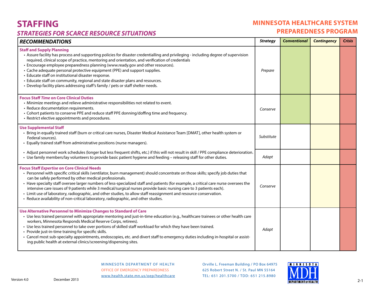# **STAFFING**

### **STRATEGIES FOR SCARCE RESOURCE SITUATIONS**

### **MINNESOTA HEALTHCARE SYSTEM PREPAREDNESS PROGRAM**

| <b>RECOMMENDATIONS</b>                                                                                                                                                                                                                                                                                                                                                                                                                                                                                                                                                                                                                                                                                                            | <b>Strategy</b> | <b>Conventional</b> | <b>Contingency</b> | <b>Crisis</b> |
|-----------------------------------------------------------------------------------------------------------------------------------------------------------------------------------------------------------------------------------------------------------------------------------------------------------------------------------------------------------------------------------------------------------------------------------------------------------------------------------------------------------------------------------------------------------------------------------------------------------------------------------------------------------------------------------------------------------------------------------|-----------------|---------------------|--------------------|---------------|
| <b>Staff and Supply Planning</b><br>• Assure facility has process and supporting policies for disaster credentialling and privileging - including degree of supervision<br>required, clinical scope of practice, mentoring and orientation, and verification of credentials<br>• Encourage employee preparedness planning (www.ready.gov and other resources).<br>• Cache adequate personal protective equipment (PPE) and support supplies.<br>• Educate staff on institutional disaster response.<br>• Educate staff on community, regional and state disaster plans and resources.<br>• Develop facility plans addressing staff's family / pets or staff shelter needs.                                                        | Prepare         |                     |                    |               |
| <b>Focus Staff Time on Core Clinical Duties</b><br>• Minimize meetings and relieve administrative responsibilities not related to event.<br>• Reduce documentation requirements.<br>• Cohort patients to conserve PPE and reduce staff PPE donning/doffing time and frequency.<br>• Restrict elective appointments and procedures.                                                                                                                                                                                                                                                                                                                                                                                                | Conserve        |                     |                    |               |
| <b>Use Supplemental Staff</b><br>Bring in equally trained staff (burn or critical care nurses, Disaster Medical Assistance Team [DMAT], other health system or<br>Federal sources).<br>• Equally trained staff from administrative positions (nurse managers).                                                                                                                                                                                                                                                                                                                                                                                                                                                                    | Substitute      |                     |                    |               |
| • Adjust personnel work schedules (longer but less frequent shifts, etc.) if this will not result in skill / PPE compliance deterioration.<br>• Use family members/lay volunteers to provide basic patient hygiene and feeding - releasing staff for other duties.                                                                                                                                                                                                                                                                                                                                                                                                                                                                | Adapt           |                     |                    |               |
| <b>Focus Staff Expertise on Core Clinical Needs</b><br>· Personnel with specific critical skills (ventilator, burn management) should concentrate on those skills; specify job duties that<br>can be safely performed by other medical professionals.<br>• Have specialty staff oversee larger numbers of less-specialized staff and patients (for example, a critical care nurse oversees the<br>intensive care issues of 9 patients while 3 medical/surgical nurses provide basic nursing care to 3 patients each).<br>• Limit use of laboratory, radiographic, and other studies, to allow staff reassignment and resource conservation.<br>• Reduce availability of non-critical laboratory, radiographic, and other studies. | Conserve        |                     |                    |               |
| Use Alternative Personnel to Minimize Changes to Standard of Care<br>• Use less trained personnel with appropriate mentoring and just-in-time education (e.g., healthcare trainees or other health care<br>workers, Minnesota Responds Medical Reserve Corps, retirees).<br>• Use less trained personnel to take over portions of skilled staff workload for which they have been trained.<br>• Provide just-in-time training for specific skills.<br>• Cancel most sub-specialty appointments, endoscopies, etc. and divert staff to emergency duties including in-hospital or assist-<br>ing public health at external clinics/screening/dispensing sites.                                                                      | Adapt           |                     |                    |               |

#### MINNESOTA DEPARTMENT OF HEALTH OFFICE OF EMERGENCY PREPAREDNESSwww.health.state.mn.us/oep/healthcare

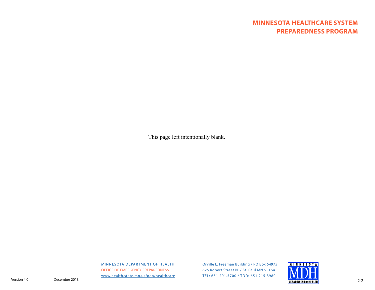# **MINNESOTA HEALTHCARE SYSTEM PREPAREDNESS PROGRAM**

This page left intentionally blank.

MINNESOTA DEPARTMENT OF HEALTH OFFICE OF EMERGENCY PREPAREDNESSwww.health.state.mn.us/oep/healthcare

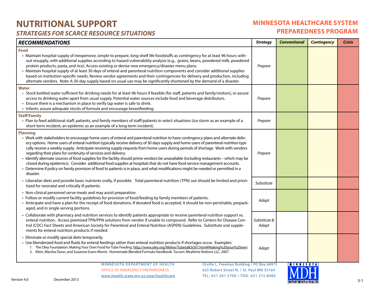# **NUTRITIONAL SUPPORT STRATEGIES FOR SCARCE RESOURCE SITUATIONS**

# **MINNESOTA HEALTHCARE SYSTEM PREPAREDNESS PROGRAM**

| <b>RECOMMENDATIONS</b>                                                                                                                                                                                                                                                                                                                                                                                                                                                                                                                                                                                                                                                                                                                                                                                                                                                                                                                 | <b>Strategy</b>       | <b>Conventional</b>      | <b>Contingency</b> | <b>Crisis</b> |
|----------------------------------------------------------------------------------------------------------------------------------------------------------------------------------------------------------------------------------------------------------------------------------------------------------------------------------------------------------------------------------------------------------------------------------------------------------------------------------------------------------------------------------------------------------------------------------------------------------------------------------------------------------------------------------------------------------------------------------------------------------------------------------------------------------------------------------------------------------------------------------------------------------------------------------------|-----------------------|--------------------------|--------------------|---------------|
| <b>Food</b><br>• Maintain hospital supply of inexpensive, simple to prepare, long-shelf life foodstuffs as contingency for at least 96 hours with-<br>out resupply, with additional supplies according to hazard vulnerability analysis (e.g., grains, beans, powdered milk, powdered<br>protein products, pasta, and rice). Access existing or devise new emergency/disaster menu plans.<br>• Maintain hospital supply of at least 30 days of enteral and parenteral nutrition components and consider additional supplies<br>based on institution-specific needs. Review vendor agreements and their contingencies for delivery and production, including<br>alternate vendors. Note: A 30-day supply based on usual use may be significantly shortened by the demand of a disaster.                                                                                                                                                 | Prepare               |                          |                    |               |
| <b>Water</b><br>• Stock bottled water sufficient for drinking needs for at least 96 hours if feasible (for staff, patients and family/visitors), or assure<br>access to drinking water apart from usual supply. Potential water sources include food and beverage distributors.<br>• Ensure there is a mechanism in place to verify tap water is safe to drink.<br>• Infants: assure adequate stocks of formula and encourage breastfeeding.                                                                                                                                                                                                                                                                                                                                                                                                                                                                                           | Prepare               |                          |                    |               |
| <b>Staff/Family</b><br>· Plan to feed additional staff, patients, and family members of staff/patients in select situations (ice storm as an example of a<br>short-term incident, an epidemic as an example of a long-term incident).                                                                                                                                                                                                                                                                                                                                                                                                                                                                                                                                                                                                                                                                                                  | Prepare               |                          |                    |               |
| <b>Planning</b><br>• Work with stakeholders to encourage home users of enteral and parenteral nutrition to have contingency plans and alternate deliv-<br>ery options. Home users of enteral nutrition typically receive delivery of 30 days supply and home users of parenteral nutrition typi-<br>cally receive a weekly supply. Anticipate receiving supply requests from home users during periods of shortage. Work with vendors<br>regarding their plans for continuity of services and delivery.<br>· Identify alternate sources of food supplies for the facility should prime vendors be unavailable (including restaurants - which may be<br>closed during epidemics). Consider additional food supplies at hospitals that do not have food service management accounts.<br>• Determine if policy on family provision of food to patients is in place, and what modifications might be needed or permitted in a<br>disaster. | Prepare               |                          |                    |               |
| • Liberalize diets and provide basic nutrients orally, if possible. Total parenteral nutrition (TPN) use should be limited and priori-<br>tized for neonatal and critically ill patients.                                                                                                                                                                                                                                                                                                                                                                                                                                                                                                                                                                                                                                                                                                                                              | Substitute            |                          |                    |               |
| • Non-clinical personnel serve meals and may assist preparation.<br>· Follow or modify current facility guidelines for provision of food/feeding by family members of patients.<br>• Anticipate and have a plan for the receipt of food donations. If donated food is accepted, it should be non-perishable, prepack-<br>aged, and in single serving portions.                                                                                                                                                                                                                                                                                                                                                                                                                                                                                                                                                                         | Adapt                 |                          |                    |               |
| · Collaborate with pharmacy and nutrition services to identify patients appropriate to receive parenteral nutrition support vs.<br>enteral nutrition. Access premixed TPN/PPN solutions from vendor if unable to compound. Refer to Centers for Disease Con-<br>trol (CDC) Fact Sheets and American Society for Parenteral and Enteral Nutrition (ASPEN) Guidelines. Substitute oral supple-<br>ments for enteral nutrition products if needed.                                                                                                                                                                                                                                                                                                                                                                                                                                                                                        | Substitute &<br>Adapt |                          |                    |               |
| • Eliminate or modify special diets temporarily.<br>• Use blenderized food and fluids for enteral feedings rather than enteral nutrition products if shortages occur. Examples:<br>1. The Oley Foundation: Making Your Own Food for Tube Feeding, http://www.oley.org/lifeline/TubetalkSO07.html#Making%20your%20own<br>2. Klein, Marsha Dunn, and Suzanne Evans Morris. Homemade Blended Formula Handbook. Tucson: Mealtime Notions LLC, 2007.                                                                                                                                                                                                                                                                                                                                                                                                                                                                                        | Adapt                 |                          |                    |               |
| Orville L. Freeman Building / PO Box 64975<br>MINNESOTA DEPARTMENT OF HEALTH<br><b>OFFICE OF EMERGENCY PREPAREDNESS</b><br>625 Robert Street N. / St. Paul MN 55164                                                                                                                                                                                                                                                                                                                                                                                                                                                                                                                                                                                                                                                                                                                                                                    |                       | <b>MINNESOTA</b><br>MINI |                    |               |

 www.health.state.mn.us/oep/healthcare625 Robert Street N. / St. Paul MN 55164TEL: 651 201.5700 / TDD: 651 215.8980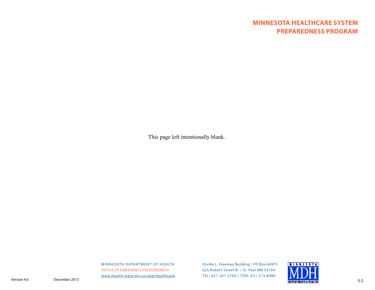# **MINNESOTA HEALTHCARE SYSTEM PREPAREDNESS PROGRAM**

This page left intentionally blank.

MINNESOTA DEPARTMENT OF HEALTH OFFICE OF EMERGENCY PREPAREDNESSwww.health.state.mn.us/oep/healthcare

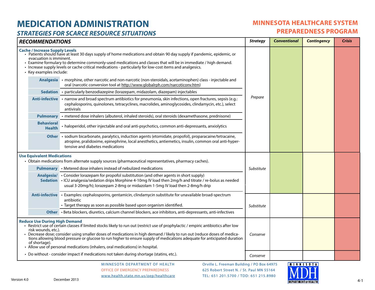# **MEDICATION ADMINISTRATION**

### **MINNESOTA HEALTHCARE SYSTEM PREPAREDNESS PROGRAM**

# **STRATEGIES FOR SCARCE RESOURCE SITUATIONS**

| <b>RECOMMENDATIONS</b>                                                                                                                                                                                                                                                                                                                                                                                                                                                                                                                                     |                                                                                                                                                                                                                                                                                                                                                      | <b>Strategy</b> | <b>Conventional</b> | <b>Contingency</b>             | <b>Crisis</b> |
|------------------------------------------------------------------------------------------------------------------------------------------------------------------------------------------------------------------------------------------------------------------------------------------------------------------------------------------------------------------------------------------------------------------------------------------------------------------------------------------------------------------------------------------------------------|------------------------------------------------------------------------------------------------------------------------------------------------------------------------------------------------------------------------------------------------------------------------------------------------------------------------------------------------------|-----------------|---------------------|--------------------------------|---------------|
| <b>Cache / Increase Supply Levels</b><br>evacuation is imminent.<br>• Key examples include:                                                                                                                                                                                                                                                                                                                                                                                                                                                                | • Patients should have at least 30 days supply of home medications and obtain 90 day supply if pandemic, epidemic, or<br>• Examine formulary to determine commonly-used medications and classes that will be in immediate / high demand.<br>· Increase supply levels or cache critical medications - particularly for low-cost items and analgesics. |                 |                     |                                |               |
| <b>Analgesia</b>                                                                                                                                                                                                                                                                                                                                                                                                                                                                                                                                           | • morphine, other narcotic and non-narcotic (non-steroidals, acetaminophen) class - injectable and<br>oral (narcotic conversion tool at http://www.globalrph.com/narcoticonv.htm)                                                                                                                                                                    |                 |                     |                                |               |
| <b>Sedation</b>                                                                                                                                                                                                                                                                                                                                                                                                                                                                                                                                            | · particularly benzodiazepine (lorazepam, midazolam, diazepam) injectables                                                                                                                                                                                                                                                                           |                 |                     |                                |               |
|                                                                                                                                                                                                                                                                                                                                                                                                                                                                                                                                                            | Anti-infective • narrow and broad spectrum antibiotics for pneumonia, skin infections, open fractures, sepsis (e.g.:<br>cephalosporins, quinolones, tetracyclines, macrolides, aminoglycosides, clindamycin, etc.), select<br>antivirals                                                                                                             | Prepare         |                     |                                |               |
| <b>Pulmonary</b>                                                                                                                                                                                                                                                                                                                                                                                                                                                                                                                                           | · metered dose inhalers (albuterol, inhaled steroids), oral steroids (dexamethasone, prednisone)                                                                                                                                                                                                                                                     |                 |                     |                                |               |
| <b>Behavioral</b><br><b>Health</b>                                                                                                                                                                                                                                                                                                                                                                                                                                                                                                                         | • haloperidol, other injectable and oral anti-psychotics, common anti-depressants, anxiolytics                                                                                                                                                                                                                                                       |                 |                     |                                |               |
| <b>Other</b>                                                                                                                                                                                                                                                                                                                                                                                                                                                                                                                                               | sodium bicarbonate, paralytics, induction agents (etomidate, propofol), proparacaine/tetracaine,<br>atropine, pralidoxime, epinephrine, local anesthetics, antiemetics, insulin, common oral anti-hyper-<br>tensive and diabetes medications                                                                                                         |                 |                     |                                |               |
| <b>Use Equivalent Medications</b>                                                                                                                                                                                                                                                                                                                                                                                                                                                                                                                          | · Obtain medications from alternate supply sources (pharmaceutical representatives, pharmacy caches).                                                                                                                                                                                                                                                |                 |                     |                                |               |
|                                                                                                                                                                                                                                                                                                                                                                                                                                                                                                                                                            | <b>Pulmonary</b> • Metered dose inhalers instead of nebulized medications                                                                                                                                                                                                                                                                            | Substitute      |                     |                                |               |
|                                                                                                                                                                                                                                                                                                                                                                                                                                                                                                                                                            | Analgesia/ • Consider lorazepam for propofol substitution (and other agents in short supply)<br>Sedation • ICU analgesia/sedation drips Morphine 4-10mg IV load then 2mg/h and titrate / re-bolus as needed<br>usual 3-20mg/h); lorazepam 2-8mg or midazolam 1-5mg IV load then 2-8mg/h drip                                                         |                 |                     |                                |               |
|                                                                                                                                                                                                                                                                                                                                                                                                                                                                                                                                                            | Anti-infective • Examples: cephalosporins, gentamicin, clindamycin substitute for unavailable broad-spectrum<br>antibiotic<br>· Target therapy as soon as possible based upon organism identified.                                                                                                                                                   | Substitute      |                     |                                |               |
|                                                                                                                                                                                                                                                                                                                                                                                                                                                                                                                                                            | Other · Beta blockers, diuretics, calcium channel blockers, ace inhibitors, anti-depressants, anti-infectives                                                                                                                                                                                                                                        |                 |                     |                                |               |
| <b>Reduce Use During High Demand</b><br>• Restrict use of certain classes if limited stocks likely to run out (restrict use of prophylactic / empiric antibiotics after low<br>risk wounds, etc.).<br>Decrease dose; consider using smaller doses of medications in high demand / likely to run out (reduce doses of medica-<br>tions allowing blood pressure or glucose to run higher to ensure supply of medications adequate for anticipated duration<br>of shortage).<br>• Allow use of personal medications (inhalers, oral medications) in hospital. |                                                                                                                                                                                                                                                                                                                                                      | Conserve        |                     |                                |               |
|                                                                                                                                                                                                                                                                                                                                                                                                                                                                                                                                                            | • Do without - consider impact if medications not taken during shortage (statins, etc.).                                                                                                                                                                                                                                                             | Conserve        |                     |                                |               |
|                                                                                                                                                                                                                                                                                                                                                                                                                                                                                                                                                            | Orville L. Freeman Building / PO Box 64975<br>MINNESOTA DEPARTMENT OF HEALTH<br><b>OFFICE OF EMERGENCY PREPAREDNESS</b><br>625 Robert Street N. / St. Paul MN 55164                                                                                                                                                                                  |                 |                     | <b>MINNESOTA</b><br><b>INT</b> |               |

www.health.state.mn.us/oep/healthcare

 625 Robert Street N. / St. Paul MN 55164TEL: 651 201.5700 / TDD: 651 215.8980

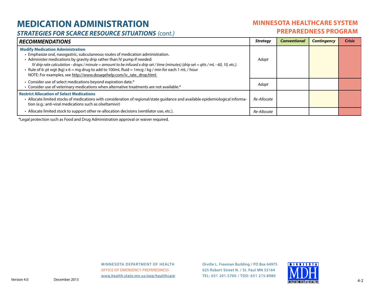# **MEDICATION ADMINISTRATION**

### **MINNESOTA HEALTHCARE SYSTEM PREPAREDNESS PROGRAM**

**STRATEGIES FOR SCARCE RESOURCE SITUATIONS** (cont.)

| <b>RECOMMENDATIONS</b>                                                                                                                                                                                                                                                                                                                                                                                                                                                                                                        | <b>Strategy</b> | <b>Conventional</b> | <b>Contingency</b> | <b>Crisis</b> |
|-------------------------------------------------------------------------------------------------------------------------------------------------------------------------------------------------------------------------------------------------------------------------------------------------------------------------------------------------------------------------------------------------------------------------------------------------------------------------------------------------------------------------------|-----------------|---------------------|--------------------|---------------|
| <b>Modify Medication Administration</b><br>• Emphasize oral, nasogastric, subcutaneous routes of medication administration.<br>• Administer medications by gravity drip rather than IV pump if needed:<br>IV drip rate calculation - drops / minute = amount to be infused x drip set / time (minutes) (drip set = qtts / mL - 60, 10, etc.).<br>• Rule of 6: pt wgt (kg) $x$ 6 = mg drug to add to 100mL fluid = 1mcg / kg / min for each 1 mL / hour<br>NOTE: For examples, see http://www.dosagehelp.com/iv_rate_drop.html | Adapt           |                     |                    |               |
| • Consider use of select medications beyond expiration date.*<br>• Consider use of veterinary medications when alternative treatments are not available.*                                                                                                                                                                                                                                                                                                                                                                     | Adapt           |                     |                    |               |
| <b>Restrict Allocation of Select Medications</b><br>• Allocate limited stocks of medications with consideration of regional/state guidance and available epidemiological informa-<br>tion (e.g.: anti-viral medications such as olseltamivir)                                                                                                                                                                                                                                                                                 | Re-Allocate     |                     |                    |               |
| • Allocate limited stock to support other re-allocation decisions (ventilator use, etc.).                                                                                                                                                                                                                                                                                                                                                                                                                                     | Re-Allocate     |                     |                    |               |

\*Legal protection such as Food and Drug Administration approval or waiver required.

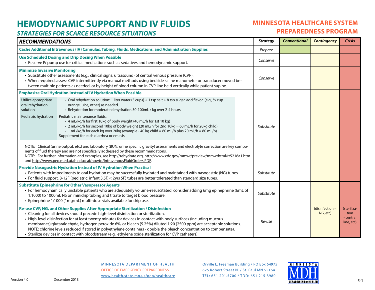# **HEMODYNAMIC SUPPORT AND IV FLUIDS**

# **MINNESOTA HEALTHCARE SYSTEM PREPAREDNESS PROGRAM**

### **STRATEGIES FOR SCARCE RESOURCE SITUATIONS**

| <b>RECOMMENDATIONS</b>                                                                                                                                                                                                                                                                                                                                                                  |                                                                                                                                                                                                                                                                                                                                                                                                                                                                                                                                                                                                                                                          | <b>Strategy</b> | <b>Conventional</b> | <b>Contingency</b>          | <b>Crisis</b>                                  |
|-----------------------------------------------------------------------------------------------------------------------------------------------------------------------------------------------------------------------------------------------------------------------------------------------------------------------------------------------------------------------------------------|----------------------------------------------------------------------------------------------------------------------------------------------------------------------------------------------------------------------------------------------------------------------------------------------------------------------------------------------------------------------------------------------------------------------------------------------------------------------------------------------------------------------------------------------------------------------------------------------------------------------------------------------------------|-----------------|---------------------|-----------------------------|------------------------------------------------|
|                                                                                                                                                                                                                                                                                                                                                                                         | Cache Additional Intravenous (IV) Cannulas, Tubing, Fluids, Medications, and Administration Supplies<br>Prepare                                                                                                                                                                                                                                                                                                                                                                                                                                                                                                                                          |                 |                     |                             |                                                |
|                                                                                                                                                                                                                                                                                                                                                                                         | <b>Use Scheduled Dosing and Drip Dosing When Possible</b><br>• Reserve IV pump use for critical medications such as sedatives and hemodynamic support.                                                                                                                                                                                                                                                                                                                                                                                                                                                                                                   | Conserve        |                     |                             |                                                |
| <b>Minimize Invasive Monitoring</b><br>· Substitute other assessments (e.g., clinical signs, ultrasound) of central venous pressure (CVP).<br>• When required, assess CVP intermittently via manual methods using bedside saline manometer or transducer moved be-<br>tween multiple patients as needed, or by height of blood column in CVP line held vertically while patient supine. |                                                                                                                                                                                                                                                                                                                                                                                                                                                                                                                                                                                                                                                          |                 |                     |                             |                                                |
|                                                                                                                                                                                                                                                                                                                                                                                         | <b>Emphasize Oral Hydration Instead of IV Hydration When Possible</b>                                                                                                                                                                                                                                                                                                                                                                                                                                                                                                                                                                                    |                 |                     |                             |                                                |
| Utilize appropriate<br>oral rehydration<br>solution                                                                                                                                                                                                                                                                                                                                     | • Oral rehydration solution: 1 liter water (5 cups) + 1 tsp salt + 8 tsp sugar, add flavor (e.g., 1/2 cup<br>orange juice, other) as needed.<br>• Rehydration for moderate dehydration 50-100mL / kg over 2-4 hours                                                                                                                                                                                                                                                                                                                                                                                                                                      |                 |                     |                             |                                                |
| Pediatric hydration                                                                                                                                                                                                                                                                                                                                                                     | Pediatric maintenance fluids:<br>· 4 mL/kg/h for first 10kg of body weight (40 mL/h for 1st 10 kg)<br>· 2 mL/kg/h for second 10kg of body weight (20 mL/h for 2nd 10kg = 60 mL/h for 20kg child)<br>• 1 mL/kg/h for each kg over 20kg (example - 40 kg child = 60 mL/h plus 20 mL/h = 80 mL/h)<br>Supplement for each diarrhea or emesis                                                                                                                                                                                                                                                                                                                 | Substitute      |                     |                             |                                                |
|                                                                                                                                                                                                                                                                                                                                                                                         | NOTE: Clinical (urine output, etc.) and laboratory (BUN, urine specific gravity) assessments and electrolyte correction are key compo-<br>nents of fluid therapy and are not specifically addressed by these recommendations.<br>NOTE: For further information and examples, see http://rehydrate.org, http://www.cdc.gov/mmwr/preview/mmwrhtml/rr5216a1.htm<br>and http://www.ped.med.utah.edu/cai/howto/IntravenousFluidOrders.PDF.                                                                                                                                                                                                                    |                 |                     |                             |                                                |
|                                                                                                                                                                                                                                                                                                                                                                                         | Provide Nasogastric Hydration Instead of IV Hydration When Practical<br>· Patients with impediments to oral hydration may be successfully hydrated and maintained with nasogastric (NG) tubes.<br>· For fluid support, 8-12F (pediatric: infant 3.5F, < 2yrs 5F) tubes are better tolerated than standard size tubes.                                                                                                                                                                                                                                                                                                                                    | Substitute      |                     |                             |                                                |
| <b>Substitute Epinephrine for Other Vasopressor Agents</b><br>· For hemodynamically unstable patients who are adequately volume-resuscitated, consider adding 6mg epinephrine (6mL of<br>1:1000) to 1000mL NS on minidrip tubing and titrate to target blood pressure.<br>· Epinephrine 1:1000 (1mg/mL) multi-dose vials available for drip use.                                        |                                                                                                                                                                                                                                                                                                                                                                                                                                                                                                                                                                                                                                                          |                 |                     |                             |                                                |
|                                                                                                                                                                                                                                                                                                                                                                                         | Re-use CVP, NG, and Other Supplies After Appropriate Sterilization / Disinfection<br>• Cleaning for all devices should precede high-level disinfection or sterilization.<br>• High-level disinfection for at least twenty minutes for devices in contact with body surfaces (including mucous<br>membranes);glutaraldehyde, hydrogen peroxide 6%, or bleach (5.25%) diluted 1:20 (2500 ppm) are acceptable solutions.<br>NOTE: chlorine levels reduced if stored in polyethylene containers - double the bleach concentration to compensate).<br>· Sterilize devices in contact with bloodstream (e.g., ethylene oxide sterilization for CVP catheters). | Re-use          |                     | (disinfection -<br>NG, etc) | (steriliza-<br>tion<br>- central<br>line, etc) |

#### MINNESOTA DEPARTMENT OF HEALTH OFFICE OF EMERGENCY PREPAREDNESSwww.health.state.mn.us/oep/healthcare

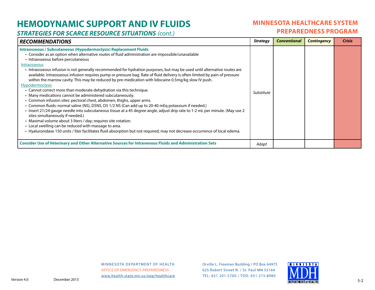# **HEMODYNAMIC SUPPORT AND IV FLUIDS**

### **MINNESOTA HEALTHCARE SYSTEM PREPAREDNESS PROGRAM**

**STRATEGIES FOR SCARCE RESOURCE SITUATIONS** (cont.)

| <b>RECOMMENDATIONS</b>                                                                                                                                                                                                                                                                                                                                                                                                                                                                                                                                                                                                                                                                                                                                                                                                                                                                                                                                                                                                                                                                                                                                                                                                                                                                                                                                                                              | <b>Strategy</b> | <b>Conventional</b> | <b>Contingency</b> | <b>Crisis</b> |
|-----------------------------------------------------------------------------------------------------------------------------------------------------------------------------------------------------------------------------------------------------------------------------------------------------------------------------------------------------------------------------------------------------------------------------------------------------------------------------------------------------------------------------------------------------------------------------------------------------------------------------------------------------------------------------------------------------------------------------------------------------------------------------------------------------------------------------------------------------------------------------------------------------------------------------------------------------------------------------------------------------------------------------------------------------------------------------------------------------------------------------------------------------------------------------------------------------------------------------------------------------------------------------------------------------------------------------------------------------------------------------------------------------|-----------------|---------------------|--------------------|---------------|
| Intraosseous / Subcutaneous (Hypodermoclysis) Replacement Fluids<br>• Consider as an option when alternative routes of fluid administration are impossible/unavailable<br>• Intraosseous before percutaneous<br><i><u><b>Intraosseous</b></u></i><br>• Intraosseous infusion is not generally recommended for hydration purposes, but may be used until alternative routes are<br>available. Intraosseous infusion requires pump or pressure bag. Rate of fluid delivery is often limited by pain of pressure<br>within the marrow cavity. This may be reduced by pre-medication with lidocaine 0.5mg/kg slow IV push.<br><b>Hypodermoclysis</b><br>• Cannot correct more than moderate dehydration via this technique.<br>• Many medications cannot be administered subcutaneously.<br>• Common infusion sites: pectoral chest, abdomen, thighs, upper arms.<br>• Common fluids: normal saline (NS), D5NS, D5 1/2 NS (Can add up to 20-40 mEq potassium if needed.)<br>• Insert 21/24 gauge needle into subcutaneous tissue at a 45 degree angle, adjust drip rate to 1-2 mL per minute. (May use 2<br>sites simultaneously if needed.)<br>• Maximal volume about 3 liters / day; requires site rotation.<br>• Local swelling can be reduced with massage to area.<br>• Hyaluronidase 150 units / liter facilitates fluid absorption but not required; may not decrease occurrence of local edema. | Substitute      |                     |                    |               |
| Consider Use of Veterinary and Other Alternative Sources for Intravenous Fluids and Administration Sets                                                                                                                                                                                                                                                                                                                                                                                                                                                                                                                                                                                                                                                                                                                                                                                                                                                                                                                                                                                                                                                                                                                                                                                                                                                                                             | Adapt           |                     |                    |               |

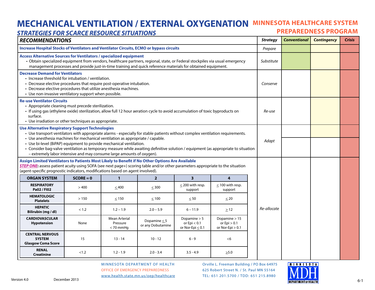# **MECHANICAL VENTILATION / EXTERNAL OXYGENATION MINNESOTA HEALTHCARE SYSTEM**

## **STRATEGIES FOR SCARCE RESOURCE SITUATIONS**

**PREPAREDNESS PROGRAM**

| <b>RECOMMENDATIONS</b>                                                                                                                                                                                                                                                                                                                                                                                                                                                                                                                                           |             |                                          |                                                                                                              |                                                           |                                                       | <b>Strategy</b> | <b>Conventional</b> | <b>Contingency</b> | <b>Crisis</b> |
|------------------------------------------------------------------------------------------------------------------------------------------------------------------------------------------------------------------------------------------------------------------------------------------------------------------------------------------------------------------------------------------------------------------------------------------------------------------------------------------------------------------------------------------------------------------|-------------|------------------------------------------|--------------------------------------------------------------------------------------------------------------|-----------------------------------------------------------|-------------------------------------------------------|-----------------|---------------------|--------------------|---------------|
| Increase Hospital Stocks of Ventilators and Ventilator Circuits, ECMO or bypass circuits                                                                                                                                                                                                                                                                                                                                                                                                                                                                         |             |                                          |                                                                                                              |                                                           |                                                       | Prepare         |                     |                    |               |
| <b>Access Alternative Sources for Ventilators / specialized equipment</b><br>· Obtain specialized equipment from vendors, healthcare partners, regional, state, or Federal stockpiles via usual emergency                                                                                                                                                                                                                                                                                                                                                        |             |                                          | management processes and provide just-in-time training and quick reference materials for obtained equipment. |                                                           |                                                       | Substitute      |                     |                    |               |
| <b>Decrease Demand for Ventilators</b><br>• Increase threshold for intubation / ventilation.<br>• Decrease elective procedures that require post-operative intubation.<br>Conserve<br>• Decrease elective procedures that utilize anesthesia machines.<br>• Use non-invasive ventilatory support when possible.                                                                                                                                                                                                                                                  |             |                                          |                                                                                                              |                                                           |                                                       |                 |                     |                    |               |
| <b>Re-use Ventilator Circuits</b><br>• Appropriate cleaning must precede sterilization.<br>· If using gas (ethylene oxide) sterilization, allow full 12 hour aeration cycle to avoid accumulation of toxic byproducts on<br>surface.<br>• Use irradiation or other techniques as appropriate.                                                                                                                                                                                                                                                                    |             |                                          |                                                                                                              |                                                           |                                                       |                 |                     |                    |               |
| <b>Use Alternative Respiratory Support Technologies</b><br>• Use transport ventilators with appropriate alarms - especially for stable patients without complex ventilation requirements.<br>• Use anesthesia machines for mechanical ventilation as appropriate / capable.<br>• Use bi-level (BiPAP) equipment to provide mechanical ventilation.<br>• Consider bag-valve ventilation as temporary measure while awaiting definitive solution / equipment (as appropriate to situation<br>- extremely labor intensive and may consume large amounts of oxygen). |             |                                          |                                                                                                              |                                                           |                                                       | Adapt           |                     |                    |               |
| Assign Limited Ventilators to Patients Most Likely to Benefit if No Other Options Are Available<br>STEP ONE: assess patient acuity using SOFA (see next page+) scoring table and/or other parameters appropriate to the situation<br>(agent-specific prognostic indicators, modifications based on agent involved).                                                                                                                                                                                                                                              |             |                                          |                                                                                                              |                                                           |                                                       |                 |                     |                    |               |
| <b>ORGAN SYSTEM</b>                                                                                                                                                                                                                                                                                                                                                                                                                                                                                                                                              | $SCORE = 0$ | $\mathbf{1}$                             | $\overline{2}$                                                                                               | $\overline{\mathbf{3}}$                                   | $\overline{\mathbf{4}}$                               |                 |                     |                    |               |
| <b>RESPIRATORY</b><br>Pa02 / FI02                                                                                                                                                                                                                                                                                                                                                                                                                                                                                                                                | >400        | < 400                                    | < 300                                                                                                        | < 200 with resp.<br>support                               | < 100 with resp.<br>support                           |                 |                     |                    |               |
| <b>HEMATOLOGIC</b><br><b>Platelets</b>                                                                                                                                                                                                                                                                                                                                                                                                                                                                                                                           | >150        | $\leq$ 150                               | $\leq 100$                                                                                                   | $\leq 50$                                                 | $\leq 20$                                             |                 |                     |                    |               |
| <b>HEPATIC</b><br>Bilirubin (mg / dl)                                                                                                                                                                                                                                                                                                                                                                                                                                                                                                                            | < 1.2       | $1.2 - 1.9$                              | $2.0 - 5.9$                                                                                                  | $6 - 11.9$                                                | $\geq$ 12                                             | Re-allocate     |                     |                    |               |
| <b>CARDIOVASCULAR</b><br><b>Hypotension</b>                                                                                                                                                                                                                                                                                                                                                                                                                                                                                                                      | None        | Mean Arterial<br>Pressure<br>$< 70$ mmHq | Dopamine $\leq$ 5<br>or any Dobutamine                                                                       | Dopamine $> 5$<br>or $Epi < 0.1$<br>or Nor-Epi $\leq 0.1$ | Dopamine > 15<br>or $Epi > 0.1$<br>or Nor-Epi $> 0.1$ |                 |                     |                    |               |
| <b>CENTRAL NERVOUS</b><br><b>SYSTEM</b><br><b>Glasgow Coma Score</b>                                                                                                                                                                                                                                                                                                                                                                                                                                                                                             | 15          | $13 - 14$                                | $10 - 12$                                                                                                    | $6 - 9$                                                   | <6                                                    |                 |                     |                    |               |
| <b>RENAL</b><br><b>Creatinine</b>                                                                                                                                                                                                                                                                                                                                                                                                                                                                                                                                | < 1.2       | $1.2 - 1.9$                              | $2.0 - 3.4$                                                                                                  | $3.5 - 4.9$                                               | >5.0                                                  |                 |                     |                    |               |

MINNESOTA DEPARTMENT OF HEALTH OFFICE OF EMERGENCY PREPAREDNESSwww.health.state.mn.us/oep/healthcare

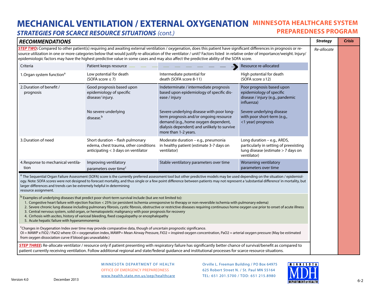# **MECHANICAL VENTILATION / EXTERNAL OXYGENATION MINNESOTA HEALTHCARE SYSTEM**

**STRATEGIES FOR SCARCE RESOURCE SITUATIONS** (cont.)

# **PREPAREDNESS PROGRAM**

| <b>RECOMMENDATIONS</b>                                                                                                                                                                                                                                                                                                                                                                                                                                                                                                                                                                                                                                                                                                               |                                                                                                                                |                                                                                                                                                                                                                                                                                                                                                                                |                                                                                                                                      | <b>Strategy</b> | <b>Crisis</b> |  |  |
|--------------------------------------------------------------------------------------------------------------------------------------------------------------------------------------------------------------------------------------------------------------------------------------------------------------------------------------------------------------------------------------------------------------------------------------------------------------------------------------------------------------------------------------------------------------------------------------------------------------------------------------------------------------------------------------------------------------------------------------|--------------------------------------------------------------------------------------------------------------------------------|--------------------------------------------------------------------------------------------------------------------------------------------------------------------------------------------------------------------------------------------------------------------------------------------------------------------------------------------------------------------------------|--------------------------------------------------------------------------------------------------------------------------------------|-----------------|---------------|--|--|
| STEP TWO: Compared to other patient(s) requiring and awaiting external ventilation / oxygenation, does this patient have significant differences in prognosis or re-<br>Re-allocate<br>source utilization in one or more categories below that would justify re-allocation of the ventilator / unit? Factors listed in relative order of importance/weight. Injury/<br>epidemiologic factors may have the highest predictive value in some cases and may also affect the predictive ability of the SOFA score.                                                                                                                                                                                                                       |                                                                                                                                |                                                                                                                                                                                                                                                                                                                                                                                |                                                                                                                                      |                 |               |  |  |
| Criteria                                                                                                                                                                                                                                                                                                                                                                                                                                                                                                                                                                                                                                                                                                                             | Patient keeps resource                                                                                                         |                                                                                                                                                                                                                                                                                                                                                                                | Resource re-allocated                                                                                                                |                 |               |  |  |
| 1. Organ system function <sup>a</sup>                                                                                                                                                                                                                                                                                                                                                                                                                                                                                                                                                                                                                                                                                                | Low potential for death<br>(SOFA score $\leq$ 7)                                                                               | Intermediate potential for<br>death (SOFA score 8-11)                                                                                                                                                                                                                                                                                                                          | High potential for death<br>(SOFA score ≥12)                                                                                         |                 |               |  |  |
| 2. Duration of benefit /<br>prognosis                                                                                                                                                                                                                                                                                                                                                                                                                                                                                                                                                                                                                                                                                                | Good prognosis based upon<br>epidemiology of specific<br>disease/injury.<br>No severe underlying                               | Indeterminate / intermediate prognosis<br>based upon epidemiology of specific dis-<br>ease / injury<br>Severe underlying disease with poor long-                                                                                                                                                                                                                               | Poor prognosis based upon<br>epidemiology of specific<br>disease / injury (e.g., pandemic<br>influenza)<br>Severe underlying disease |                 |               |  |  |
|                                                                                                                                                                                                                                                                                                                                                                                                                                                                                                                                                                                                                                                                                                                                      | disease. <sup>b</sup>                                                                                                          | term prognosis and/or ongoing resource<br>demand (e.g., home oxygen dependent,<br>dialysis dependent) and unlikely to survive<br>more than 1-2 years.                                                                                                                                                                                                                          | with poor short-term (e.g.,<br><1 year) prognosis                                                                                    |                 |               |  |  |
| 3. Duration of need                                                                                                                                                                                                                                                                                                                                                                                                                                                                                                                                                                                                                                                                                                                  | Short duration - flash pulmonary<br>edema, chest trauma, other conditions<br>anticipating $<$ 3 days on ventilator             | Moderate duration - e.g., pneumonia<br>in healthy patient (estimate 3-7 days on<br>ventilator)                                                                                                                                                                                                                                                                                 | Long duration - e.g., ARDS,<br>particularly in setting of preexisting<br>lung disease (estimate > 7 days on<br>ventilator)           |                 |               |  |  |
| 4. Response to mechanical ventila-                                                                                                                                                                                                                                                                                                                                                                                                                                                                                                                                                                                                                                                                                                   | Improving ventilatory                                                                                                          | Stable ventilatory parameters over time                                                                                                                                                                                                                                                                                                                                        | Worsening ventilatory                                                                                                                |                 |               |  |  |
| tion                                                                                                                                                                                                                                                                                                                                                                                                                                                                                                                                                                                                                                                                                                                                 | parameters over time <sup>c</sup>                                                                                              |                                                                                                                                                                                                                                                                                                                                                                                | parameters over time                                                                                                                 |                 |               |  |  |
| larger differences and trends can be extremely helpful in determining<br>resource assignment.                                                                                                                                                                                                                                                                                                                                                                                                                                                                                                                                                                                                                                        |                                                                                                                                | a The Sequential Organ Failure Assessment (SOFA) score is the currently preferred assessment tool but other predictive models may be used depending on the situation / epidemiol-<br>ogy. Note: SOFA scores were not designed to forecast mortality, and thus single or a few point difference between patients may not represent a 'substantial difference' in mortality, but |                                                                                                                                      |                 |               |  |  |
| <sup>b</sup> Examples of underlying diseases that predict poor short-term survival include (but are not limited to):<br>1. Congestive heart failure with ejection fraction < 25% (or persistent ischemia unresponsive to therapy or non-reversible ischemia with pulmonary edema)<br>2. Severe chronic lung disease including pulmonary fibrosis, cystic fibrosis, obstructive or restrictive diseases requiring continuous home oxygen use prior to onset of acute illness<br>3. Central nervous system, solid organ, or hematopoietic malignancy with poor prognosis for recovery<br>4. Cirrhosis with ascites, history of variceal bleeding, fixed coagulopathy or encephalopathy<br>5. Acute hepatic failure with hyperammonemia |                                                                                                                                |                                                                                                                                                                                                                                                                                                                                                                                |                                                                                                                                      |                 |               |  |  |
| from oxygen dissociation curve if blood gas unavailable.)                                                                                                                                                                                                                                                                                                                                                                                                                                                                                                                                                                                                                                                                            | <sup>c</sup> Changes in Oxygenation Index over time may provide comparative data, though of uncertain prognostic significance. | OI = MAWP x FiO2 / PaO2 where: OI = oxygenation index, MAWP= Mean Airway Pressure, FiO2 = inspired oxygen concentration, PaO2 = arterial oxygen pressure (May be estimated                                                                                                                                                                                                     |                                                                                                                                      |                 |               |  |  |
|                                                                                                                                                                                                                                                                                                                                                                                                                                                                                                                                                                                                                                                                                                                                      |                                                                                                                                | STEP THREE: Re-allocate ventilator / resource only if patient presenting with respiratory failure has significantly better chance of survival/benefit as compared to<br>patient currently receiving ventilation. Follow additional regional and state/federal guidance and institutional processes for scarce resource situations.                                             |                                                                                                                                      |                 |               |  |  |

MINNESOTA DEPARTMENT OF HEALTH OFFICE OF EMERGENCY PREPAREDNESSwww.health.state.mn.us/oep/healthcare

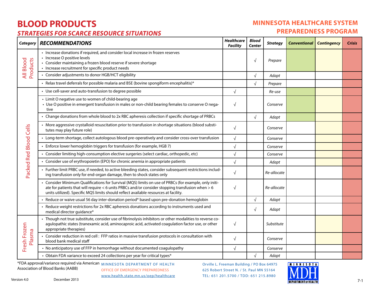# **BLOOD PRODUCTS**

### **MINNESOTA HEALTHCARE SYSTEM PREPAREDNESS PROGRAM**

### **STRATEGIES FOR SCARCE RESOURCE SITUATIONS**

|                        | Category   RECOMMENDATIONS                                                                                                                                                                                                                                                                      | <b>Healthcare</b><br><b>Facility</b> | <b>Blood</b><br><b>Center</b> | <b>Strategy</b> | <b>Conventional</b> | <b>Contingency</b> | <b>Crisis</b> |
|------------------------|-------------------------------------------------------------------------------------------------------------------------------------------------------------------------------------------------------------------------------------------------------------------------------------------------|--------------------------------------|-------------------------------|-----------------|---------------------|--------------------|---------------|
| Products<br>All Blood  | • Increase donations if required, and consider local increase in frozen reserves<br>• Increase O positive levels<br>Consider maintaining a frozen blood reserve if severe shortage<br>• Increase recruitment for specific product needs                                                         |                                      | $\sqrt{ }$                    | Prepare         |                     |                    |               |
|                        | Consider adjustments to donor HGB/HCT eligibility                                                                                                                                                                                                                                               |                                      | $\sqrt{ }$                    | Adapt           |                     |                    |               |
|                        | • Relax travel deferrals for possible malaria and BSE (bovine spongiform encephalitis)*                                                                                                                                                                                                         |                                      | $\sqrt{ }$                    | Prepare         |                     |                    |               |
|                        | • Use cell-saver and auto-transfusion to degree possible                                                                                                                                                                                                                                        | $\sqrt{2}$                           |                               | Re-use          |                     |                    |               |
|                        | • Limit O negative use to women of child-bearing age<br>• Use O positive in emergent transfusion in males or non-child bearing females to conserve O nega-<br>tive                                                                                                                              | $\sqrt{}$                            |                               | Conserve        |                     |                    |               |
|                        | Change donations from whole blood to 2x RBC apheresis collection if specific shortage of PRBCs                                                                                                                                                                                                  |                                      | $\sqrt{ }$                    | Adapt           |                     |                    |               |
|                        | More aggressive crystalloid resuscitation prior to transfusion in shortage situations (blood substi-<br>tutes may play future role)                                                                                                                                                             | $\sqrt{}$                            |                               | Conserve        |                     |                    |               |
|                        | • Long-term shortage, collect autologous blood pre-operatively and consider cross-over transfusion                                                                                                                                                                                              | $\sqrt{2}$                           |                               | Conserve        |                     |                    |               |
|                        | Enforce lower hemoglobin triggers for transfusion (for example, HGB 7)                                                                                                                                                                                                                          | $\sqrt{}$                            |                               | Conserve        |                     |                    |               |
|                        | Consider limiting high-consumption elective surgeries (select cardiac, orthopedic, etc)                                                                                                                                                                                                         | $\sqrt{}$                            |                               | Conserve        |                     |                    |               |
|                        | Consider use of erythropoietin (EPO) for chronic anemia in appropriate patients                                                                                                                                                                                                                 | $\sqrt{2}$                           |                               | Adapt           |                     |                    |               |
| Packed Red Blood Cells | Further limit PRBC use, if needed, to active bleeding states, consider subsequent restrictions includ-<br>ing transfusion only for end-organ damage, then to shock states only                                                                                                                  | $\sqrt{}$                            |                               | Re-allocate     |                     |                    |               |
|                        | Consider Minimum Qualifications for Survival (MQS) limits on use of PRBCs (for example, only initi-<br>ate for patients that will require < 6 units PRBCs and/or consider stopping transfusion when > 6<br>units utilized). Specific MQS limits should reflect available resources at facility. | $\sqrt{ }$                           |                               | Re-allocate     |                     |                    |               |
|                        | • Reduce or waive usual 56 day inter-donation period* based upon pre-donation hemoglobin                                                                                                                                                                                                        |                                      | $\sqrt{ }$                    | Adapt           |                     |                    |               |
|                        | • Reduce weight restrictions for 2x RBC apheresis donations according to instruments used and<br>medical director guidance*                                                                                                                                                                     |                                      | $\sqrt{ }$                    | Adapt           |                     |                    |               |
|                        | • Though not true substitute, consider use of fibrinolysis inhibitors or other modalities to reverse co-<br>agulopathic states (tranexamic acid, aminocaproic acid, activated coagulation factor use, or other<br>appropriate therapies)                                                        | $\sqrt{ }$                           |                               | Substitute      |                     |                    |               |
| Fresh Frozen<br>Plasma | Consider reduction in red cell : FFP ratios in massive transfusion protocols in consultation with<br>blood bank medical staff                                                                                                                                                                   | $\sqrt{ }$                           |                               | Conserve        |                     |                    |               |
|                        | • No anticipatory use of FFP in hemorrhage without documented coagulopathy                                                                                                                                                                                                                      | $\sqrt{}$                            |                               | Conserve        |                     |                    |               |
|                        | • Obtain FDA variance to exceed 24 collections per year for critical types*                                                                                                                                                                                                                     |                                      | $\sqrt{}$                     | Adapt           |                     |                    |               |

\*FDA approval/variance required via American MINNESOTA DEPARTMENT OF HEALTH OFFICE OF EMERGENCY PREPAREDNESSAssociation of Blood Banks (AABB)

www.health.state.mn.us/oep/healthcare

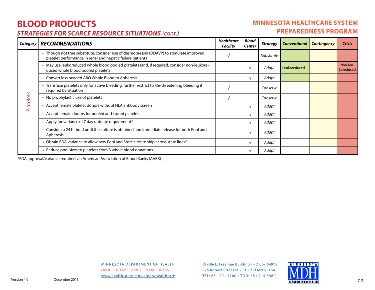# **BLOOD PRODUCTS**

# **STRATEGIES FOR SCARCE RESOURCE SITUATIONS** (cont.)

### **MINNESOTA HEALTHCARE SYSTEM PREPAREDNESS PROGRAM**

| Category  | <b>RECOMMENDATIONS</b>                                                                                                                                 | <b>Healthcare</b><br><b>Facility</b> | <b>Blood</b><br><b>Center</b> | <b>Strategy</b> | <b>Conventional</b> | <b>Contingency</b> | <b>Crisis</b>         |
|-----------|--------------------------------------------------------------------------------------------------------------------------------------------------------|--------------------------------------|-------------------------------|-----------------|---------------------|--------------------|-----------------------|
|           | • Though not true substitute, consider use of desmopressin (DDAVP) to stimulate improved<br>platelet performance in renal and hepatic failure patients |                                      |                               | Substitute      |                     |                    |                       |
|           | • May use leukoreduced whole blood pooled platelets (and, if required, consider non-leukore-<br>duced whole blood pooled platelets)                    |                                      | N                             | Adapt           | Leukoreduced        |                    | Non-leu-<br>koreduced |
|           | • Convert less needed ABO Whole Blood to Apheresis                                                                                                     |                                      | $\sqrt{ }$                    | Adapt           |                     |                    |                       |
|           | • Transfuse platelets only for active bleeding, further restrict to life-threatening bleeding if<br>required by situation                              |                                      |                               | Conserve        |                     |                    |                       |
|           | • No prophylactic use of platelets                                                                                                                     |                                      |                               | Conserve        |                     |                    |                       |
| Platelets | • Accept female platelet donors without HLA antibody screen                                                                                            |                                      | $\sqrt{ }$                    | Adapt           |                     |                    |                       |
|           | • Accept female donors for pooled and stored platelets                                                                                                 |                                      | N                             | Adapt           |                     |                    |                       |
|           | • Apply for variance of 7 day outdate requirement*                                                                                                     |                                      | $\sqrt{ }$                    | Adapt           |                     |                    |                       |
|           | • Consider a 24 hr hold until the culture is obtained and immediate release for both Pool and<br>Apheresis                                             |                                      | N                             | Adapt           |                     |                    |                       |
|           | • Obtain FDA variance to allow new Pool and Store sites to ship across state lines*                                                                    |                                      | N                             | Adapt           |                     |                    |                       |
|           | • Reduce pool sizes to platelets from 3 whole blood donations                                                                                          |                                      | N                             | Adapt           |                     |                    |                       |

\*FDA approval/variance required via American Association of Blood Banks (AABB)

MINNESOTA DEPARTMENT OF HEALTH OFFICE OF EMERGENCY PREPAREDNESSwww.health.state.mn.us/oep/healthcare

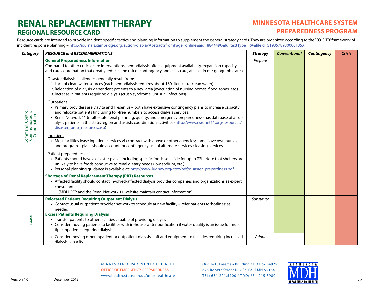# **RENAL REPLACEMENT THERAPYREGIONAL RESOURCE CARD**

# **MINNESOTA HEALTHCARE SYSTEM PREPAREDNESS PROGRAM**

Resource cards are intended to provide incident-specific tactics and planning information to supplement the general strategy cards. They are organized according to the 'CO-S-TR' framework of incident response planning – http://journals.cambridge.org/action/displayAbstract?fromPage=online&aid=8844490&fulltextType=RA&fileId=S193578930000135X

| Category                                            | <b>RESOURCE and RECOMMENDATIONS</b>                                                                                                                                                                                                                                                                                                                                                                                                                                        | <b>Strategy</b> | <b>Conventional</b> | <b>Contingency</b> | <b>Crisis</b> |
|-----------------------------------------------------|----------------------------------------------------------------------------------------------------------------------------------------------------------------------------------------------------------------------------------------------------------------------------------------------------------------------------------------------------------------------------------------------------------------------------------------------------------------------------|-----------------|---------------------|--------------------|---------------|
|                                                     | <b>General Preparedness Information</b><br>Compared to other critical care interventions, hemodialysis offers equipment availability, expansion capacity,<br>and care coordination that greatly reduces the risk of contingency and crisis care, at least in our geographic area.                                                                                                                                                                                          | Prepare         |                     |                    |               |
| Command, Control,<br>Communication,<br>Coordination | Disaster dialysis challenges generally result from:<br>1. Lack of clean water sources (each hemodialysis requires about 160 liters ultra-clean water)<br>2. Relocation of dialysis-dependent patients to a new area (evacuation of nursing homes, flood zones, etc.)<br>3. Increase in patients requiring dialysis (crush syndrome, unusual infections)                                                                                                                    |                 |                     |                    |               |
|                                                     | Outpatient<br>• Primary providers are DaVita and Fresenius – both have extensive contingency plans to increase capacity<br>and relocate patients (including toll-free numbers to access dialysis services)<br>• Renal Network 11 (multi-state renal planning, quality, and emergency preparedness) has database of all di-<br>alysis patients in the state/region and assists coordination activities (http://www.esrdnet11.org/resources/<br>disaster_prep_resources.asp) |                 |                     |                    |               |
|                                                     | Inpatient<br>• Most facilities lease inpatient services via contract with above or other agencies; some have own nurses<br>and program - plans should account for contingency use of alternate services / leasing services                                                                                                                                                                                                                                                 |                 |                     |                    |               |
|                                                     | Patient preparedness<br>• Patients should have a disaster plan - including specific foods set aside for up to 72h. Note that shelters are<br>unlikely to have foods conducive to renal dietary needs (low sodium, etc.)<br>• Personal planning quidance is available at: http://www.kidney.org/atoz/pdf/disaster_prepardness.pdf                                                                                                                                           |                 |                     |                    |               |
|                                                     | <b>Shortage of Renal Replacement Therapy (RRT) Resources</b><br>• Affected facility should contact involved/affected dialysis provider companies and organizations as expert<br>consultants <sup>1</sup><br>(MDH OEP and the Renal Network 11 website maintain contact information)                                                                                                                                                                                        |                 |                     |                    |               |
|                                                     | <b>Relocated Patients Requiring Outpatient Dialysis</b><br>· Contact usual outpatient provider network to schedule at new facility - refer patients to 'hotlines' as                                                                                                                                                                                                                                                                                                       | Substitute      |                     |                    |               |
|                                                     | needed                                                                                                                                                                                                                                                                                                                                                                                                                                                                     |                 |                     |                    |               |
| Space                                               | <b>Excess Patients Requiring Dialysis</b><br>• Transfer patients to other facilities capable of providing dialysis                                                                                                                                                                                                                                                                                                                                                         |                 |                     |                    |               |
|                                                     | • Consider moving patients to facilities with in-house water purification if water quality is an issue for mul-<br>tiple inpatients requiring dialysis                                                                                                                                                                                                                                                                                                                     |                 |                     |                    |               |
|                                                     | • Consider moving other inpatient or outpatient dialysis staff and equipment to facilities requiring increased<br>dialysis capacity                                                                                                                                                                                                                                                                                                                                        | Adapt           |                     |                    |               |

#### MINNESOTA DEPARTMENT OF HEALTH OFFICE OF EMERGENCY PREPAREDNESSwww.health.state.mn.us/oep/healthcare

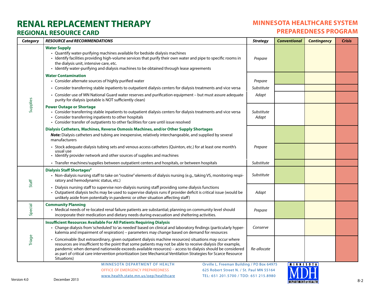# **RENAL REPLACEMENT THERAPYREGIONAL RESOURCE CARD**

# **MINNESOTA HEALTHCARE SYSTEM PREPAREDNESS PROGRAM**

| <b>Category</b> | <b>RESOURCE and RECOMMENDATIONS</b>                                                                                                                                                                                                                                                                                                                                                                                                                                   | <b>Strategy</b>     | <b>Conventional</b>              | <b>Contingency</b> | <b>Crisis</b> |
|-----------------|-----------------------------------------------------------------------------------------------------------------------------------------------------------------------------------------------------------------------------------------------------------------------------------------------------------------------------------------------------------------------------------------------------------------------------------------------------------------------|---------------------|----------------------------------|--------------------|---------------|
|                 | <b>Water Supply</b><br>• Quantify water-purifying machines available for bedside dialysis machines<br>· Identify facilities providing high-volume services that purify their own water and pipe to specific rooms in<br>the dialysis unit, intensive care, etc.<br>• Identify water-purifying and dialysis machines to be obtained through lease agreements                                                                                                           | Prepare             |                                  |                    |               |
|                 | <b>Water Contamination</b><br>• Consider alternate sources of highly purified water                                                                                                                                                                                                                                                                                                                                                                                   | Prepare             |                                  |                    |               |
|                 | • Consider transferring stable inpatients to outpatient dialysis centers for dialysis treatments and vice versa                                                                                                                                                                                                                                                                                                                                                       | Substitute          |                                  |                    |               |
|                 | • Consider use of MN National Guard water reserves and purification equipment - but must assure adequate<br>purity for dialysis (potable is NOT sufficiently clean)                                                                                                                                                                                                                                                                                                   | Adapt               |                                  |                    |               |
| Supplies        | <b>Power Outage or Shortage</b><br>• Consider transferring stable inpatients to outpatient dialysis centers for dialysis treatments and vice versa<br>• Consider transferring inpatients to other hospitals<br>• Consider transfer of outpatients to other facilities for care until issue resolved                                                                                                                                                                   | Substitute<br>Adapt |                                  |                    |               |
|                 | Dialysis Catheters, Machines, Reverse Osmosis Machines, and/or Other Supply Shortages<br>Note: Dialysis catheters and tubing are inexpensive, relatively interchangeable, and supplied by several<br>manufacturers                                                                                                                                                                                                                                                    |                     |                                  |                    |               |
|                 | · Stock adequate dialysis tubing sets and venous access catheters (Quinton, etc.) for at least one month's<br>usual use<br>• Identify provider network and other sources of supplies and machines                                                                                                                                                                                                                                                                     | Prepare             |                                  |                    |               |
|                 | • Transfer machines/supplies between outpatient centers and hospitals, or between hospitals                                                                                                                                                                                                                                                                                                                                                                           | Substitute          |                                  |                    |               |
| Staff           | <b>Dialysis Staff Shortages<sup>2</sup></b><br>• Non-dialysis nursing staff to take on "routine" elements of dialysis nursing (e.g., taking VS, monitoring respi-<br>ratory and hemodynamic status, etc.)                                                                                                                                                                                                                                                             | Substitute          |                                  |                    |               |
|                 | • Dialysis nursing staff to supervise non-dialysis nursing staff providing some dialysis functions<br>• Outpatient dialysis techs may be used to supervise dialysis runs if provider deficit is critical issue (would be<br>unlikely aside from potentially in pandemic or other situation affecting staff)                                                                                                                                                           | Adapt               |                                  |                    |               |
| Special         | <b>Community Planning</b><br>• Medical needs of re-located renal failure patients are substantial; planning on community level should<br>incorporate their medication and dietary needs during evacuation and sheltering activities.                                                                                                                                                                                                                                  | Prepare             |                                  |                    |               |
|                 | <b>Insufficient Resources Available For All Patients Requiring Dialysis</b><br>• Change dialysis from 'scheduled' to 'as needed' based on clinical and laboratory findings (particularly hyper-<br>kalemia and impairment of respiration) - parameters may change based on demand for resources                                                                                                                                                                       | Conserve            |                                  |                    |               |
| Triage          | • Conceivable (but extraordinary, given outpatient dialysis machine resources) situations may occur where<br>resources are insufficient to the point that some patients may not be able to receive dialysis (for example,<br>pandemic when demand nationwide exceeds available resources) - access to dialysis should be considered<br>as part of critical care intervention prioritization (see Mechanical Ventilation Strategies for Scarce Resource<br>Situations) | Re-allocate         |                                  |                    |               |
|                 | MINNESOTA DEPARTMENT OF HEALTH<br>Orville L. Freeman Building / PO Box 64975<br>625 Robert Street N. / St. Paul MN 55164<br>OFFICE OF EMERGENCY PREPAREDNESS                                                                                                                                                                                                                                                                                                          |                     | <b>MINNESOTA</b><br><b>MINIT</b> |                    |               |

www.health.state.mn.us/oep/healthcare

 625 Robert Street N. / St. Paul MN 55164TEL: 651 201.5700 / TDD: 651 215.8980

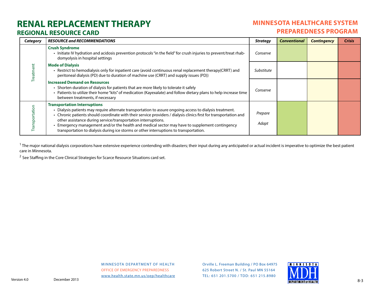# **RENAL REPLACEMENT THERAPYREGIONAL RESOURCE CARD**

# **MINNESOTA HEALTHCARE SYSTEM PREPAREDNESS PROGRAM**

| <b>Category</b> | <b>RESOURCE and RECOMMENDATIONS</b>                                                                                                                                                                                                                                                                                                                                                                                                                                                                                             | <b>Strategy</b>  | <b>Conventional</b> | <b>Contingency</b> | <b>Crisis</b> |
|-----------------|---------------------------------------------------------------------------------------------------------------------------------------------------------------------------------------------------------------------------------------------------------------------------------------------------------------------------------------------------------------------------------------------------------------------------------------------------------------------------------------------------------------------------------|------------------|---------------------|--------------------|---------------|
|                 | <b>Crush Syndrome</b><br>• Initiate IV hydration and acidosis prevention protocols "in the field" for crush injuries to prevent/treat rhab-<br>domyolysis in hospital settings                                                                                                                                                                                                                                                                                                                                                  | Conserve         |                     |                    |               |
|                 | <b>Mode of Dialysis</b><br>• Restrict to hemodialysis only for inpatient care (avoid continuous renal replacement therapy(CRRT) and<br>peritoneal dialysis (PD) due to duration of machine use (CRRT) and supply issues (PD))                                                                                                                                                                                                                                                                                                   |                  |                     |                    |               |
|                 | <b>Increased Demand on Resources</b><br>• Shorten duration of dialysis for patients that are more likely to tolerate it safely<br>• Patients to utilize their home "kits" of medication (Kayexalate) and follow dietary plans to help increase time<br>between treatments, if necessary                                                                                                                                                                                                                                         | Conserve         |                     |                    |               |
|                 | <b>Transportation Interruptions</b><br>. Dialysis patients may require alternate transportation to assure ongoing access to dialysis treatment.<br>• Chronic patients should coordinate with their service providers / dialysis clinics first for transportation and<br>other assistance during service/transportation interruptions.<br>Emergency management and/or the health and medical sector may have to supplement contingency<br>transportation to dialysis during ice storms or other interruptions to transportation. | Prepare<br>Adapt |                     |                    |               |

 $1$  The major national dialysis corporations have extensive experience contending with disasters; their input during any anticipated or actual incident is imperative to optimize the best patient care in Minnesota.

 $^2$  See Staffing in the Core Clinical Strategies for Scarce Resource Situations card set.

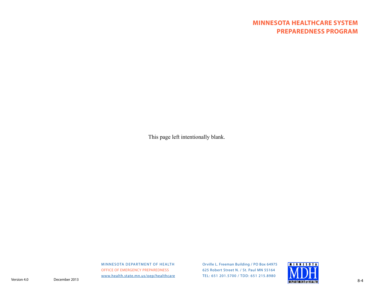# **MINNESOTA HEALTHCARE SYSTEM PREPAREDNESS PROGRAM**

This page left intentionally blank.

MINNESOTA DEPARTMENT OF HEALTH OFFICE OF EMERGENCY PREPAREDNESSwww.health.state.mn.us/oep/healthcare

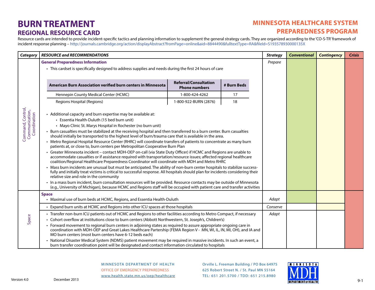# **MINNESOTA HEALTHCARE SYSTEM PREPAREDNESS PROGRAM**

Resource cards are intended to provide incident-specific tactics and planning information to supplement the general strategy cards. They are organized according to the 'CO-S-TR' framework of incident response planning – http://journals.cambridge.org/action/displayAbstract?fromPage=online&aid=8844490&fulltextType=RA&! leId=S193578930000135X

| Category                                            | <b>RESOURCE and RECOMMENDATIONS</b>                                                                                                                                                                                                                                                                                                                                                                                                                                                                                                                                                                                                                                                                                                                                                                                                                                                                                                                                                                                                                                                                                                                                                                                                                                                                                                                                                                                                                                                                                                    | <b>Strategy</b>                                      | <b>Conventional</b> | <b>Contingency</b> | <b>Crisis</b> |  |  |
|-----------------------------------------------------|----------------------------------------------------------------------------------------------------------------------------------------------------------------------------------------------------------------------------------------------------------------------------------------------------------------------------------------------------------------------------------------------------------------------------------------------------------------------------------------------------------------------------------------------------------------------------------------------------------------------------------------------------------------------------------------------------------------------------------------------------------------------------------------------------------------------------------------------------------------------------------------------------------------------------------------------------------------------------------------------------------------------------------------------------------------------------------------------------------------------------------------------------------------------------------------------------------------------------------------------------------------------------------------------------------------------------------------------------------------------------------------------------------------------------------------------------------------------------------------------------------------------------------------|------------------------------------------------------|---------------------|--------------------|---------------|--|--|
|                                                     | <b>General Preparedness Information</b>                                                                                                                                                                                                                                                                                                                                                                                                                                                                                                                                                                                                                                                                                                                                                                                                                                                                                                                                                                                                                                                                                                                                                                                                                                                                                                                                                                                                                                                                                                | Prepare                                              |                     |                    |               |  |  |
|                                                     | • This cardset is specifically designed to address supplies and needs during the first 24 hours of care                                                                                                                                                                                                                                                                                                                                                                                                                                                                                                                                                                                                                                                                                                                                                                                                                                                                                                                                                                                                                                                                                                                                                                                                                                                                                                                                                                                                                                |                                                      |                     |                    |               |  |  |
|                                                     |                                                                                                                                                                                                                                                                                                                                                                                                                                                                                                                                                                                                                                                                                                                                                                                                                                                                                                                                                                                                                                                                                                                                                                                                                                                                                                                                                                                                                                                                                                                                        |                                                      |                     |                    |               |  |  |
|                                                     | American Burn Association verified burn centers in Minnesota                                                                                                                                                                                                                                                                                                                                                                                                                                                                                                                                                                                                                                                                                                                                                                                                                                                                                                                                                                                                                                                                                                                                                                                                                                                                                                                                                                                                                                                                           | <b>Referral/Consultation</b><br><b>Phone numbers</b> | # Burn Beds         |                    |               |  |  |
|                                                     | Hennepin County Medical Center (HCMC)                                                                                                                                                                                                                                                                                                                                                                                                                                                                                                                                                                                                                                                                                                                                                                                                                                                                                                                                                                                                                                                                                                                                                                                                                                                                                                                                                                                                                                                                                                  | 1-800-424-4262                                       | 17                  |                    |               |  |  |
|                                                     | Regions Hospital (Regions)                                                                                                                                                                                                                                                                                                                                                                                                                                                                                                                                                                                                                                                                                                                                                                                                                                                                                                                                                                                                                                                                                                                                                                                                                                                                                                                                                                                                                                                                                                             | 1-800-922-BURN (2876)                                | 18                  |                    |               |  |  |
| Command, Control,<br>Communication,<br>Coordination | • Additional capacity and burn expertise may be available at:<br>• Essentia Health-Duluth (15 bed burn unit)<br>• Mayo Clinic St. Marys Hospital in Rochester (no burn unit)<br>• Burn casualties must be stabilized at the receiving hospital and then transferred to a burn center. Burn casualties<br>should initially be transported to the highest level of burn/trauma care that is available in the area.<br>• Metro Regional Hospital Resource Center (RHRC) will coordinate transfers of patients to concentrate as many burn<br>patients at, or close to, burn centers per Metropolitan Cooperative Burn Plan<br>• Greater Minnesota incident - contact MDH-OEP on-call (via State Duty Officer) if HCMC and Regions are unable to<br>accommodate casualties or if assistance required with transportation/resource issues; affected regional healthcare<br>coalition/Regional Healthcare Preparedness Coordinator will coordinate with MDH and Metro RHRC<br>• Mass burn incidents are unusual but must be anticipated. The ability of non-burn center hospitals to stabilize success-<br>fully and initially treat victims is critical to successful response. All hospitals should plan for incidents considering their<br>relative size and role in the community<br>• In a mass burn incident, burn consultation resources will be provided. Resource contacts may be outside of Minnesota<br>(e.g., University of Michigan), because HCMC and Regions staff will be occupied with patient care and transfer activities |                                                      |                     |                    |               |  |  |
|                                                     | <b>Space</b>                                                                                                                                                                                                                                                                                                                                                                                                                                                                                                                                                                                                                                                                                                                                                                                                                                                                                                                                                                                                                                                                                                                                                                                                                                                                                                                                                                                                                                                                                                                           |                                                      |                     |                    |               |  |  |
|                                                     | • Maximal use of burn beds at HCMC, Regions, and Essentia Health-Duluth                                                                                                                                                                                                                                                                                                                                                                                                                                                                                                                                                                                                                                                                                                                                                                                                                                                                                                                                                                                                                                                                                                                                                                                                                                                                                                                                                                                                                                                                |                                                      |                     | Adapt              |               |  |  |
|                                                     | • Expand burn units at HCMC and Regions into other ICU spaces at those hospitals                                                                                                                                                                                                                                                                                                                                                                                                                                                                                                                                                                                                                                                                                                                                                                                                                                                                                                                                                                                                                                                                                                                                                                                                                                                                                                                                                                                                                                                       |                                                      |                     | Conserve           |               |  |  |
| Space                                               | • Transfer non-burn ICU patients out of HCMC and Regions to other facilities according to Metro Compact, if necessary                                                                                                                                                                                                                                                                                                                                                                                                                                                                                                                                                                                                                                                                                                                                                                                                                                                                                                                                                                                                                                                                                                                                                                                                                                                                                                                                                                                                                  |                                                      |                     | Adapt              |               |  |  |
|                                                     | Cohort overflow at institutions close to burn centers (Abbott Northwestern, St. Joseph's, Children's)<br>• Forward movement to regional burn centers in adjoining states as required to assure appropriate ongoing care in<br>coordination with MDH-OEP and Great Lakes Healthcare Partership (FEMA Region V - MN, WI, IL, IN, MI, OH), and IA and<br>MO burn centers (most burn centers have 6-12 beds each)                                                                                                                                                                                                                                                                                                                                                                                                                                                                                                                                                                                                                                                                                                                                                                                                                                                                                                                                                                                                                                                                                                                          |                                                      |                     |                    |               |  |  |
|                                                     | National Disaster Medical System (NDMS) patient movement may be required in massive incidents. In such an event, a<br>burn transfer coordination point will be designated and contact information circulated to hospitals                                                                                                                                                                                                                                                                                                                                                                                                                                                                                                                                                                                                                                                                                                                                                                                                                                                                                                                                                                                                                                                                                                                                                                                                                                                                                                              |                                                      |                     |                    |               |  |  |

#### MINNESOTA DEPARTMENT OF HEALTH OFFICE OF EMERGENCY PREPAREDNESSwww.health.state.mn.us/oep/healthcare

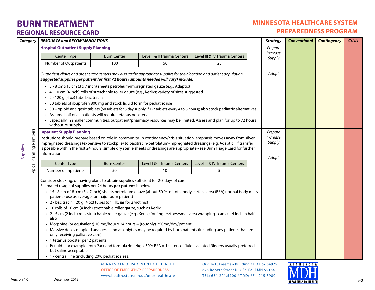# **MINNESOTA HEALTHCARE SYSTEM PREPAREDNESS PROGRAM**

| Category                 | <b>RESOURCE and RECOMMENDATIONS</b><br><b>Strategy</b>                                                                                           |                                                                                     |                                                                                                                                                                                                                    |                                                                                                                                    |                    | <b>Conventional</b> | <b>Contingency</b> | <b>Crisis</b> |
|--------------------------|--------------------------------------------------------------------------------------------------------------------------------------------------|-------------------------------------------------------------------------------------|--------------------------------------------------------------------------------------------------------------------------------------------------------------------------------------------------------------------|------------------------------------------------------------------------------------------------------------------------------------|--------------------|---------------------|--------------------|---------------|
|                          | <b>Hospital Outpatient Supply Planning</b>                                                                                                       |                                                                                     |                                                                                                                                                                                                                    |                                                                                                                                    | Prepare            |                     |                    |               |
|                          | Center Type                                                                                                                                      | <b>Burn Center</b>                                                                  | Level I & II Trauma Centers                                                                                                                                                                                        | Level III & IV Trauma Centers                                                                                                      | Increase<br>Supply |                     |                    |               |
|                          | Number of Outpatients                                                                                                                            | 100                                                                                 | 50                                                                                                                                                                                                                 | 25                                                                                                                                 |                    |                     |                    |               |
|                          |                                                                                                                                                  |                                                                                     |                                                                                                                                                                                                                    |                                                                                                                                    |                    |                     |                    |               |
|                          |                                                                                                                                                  |                                                                                     | Outpatient clinics and urgent care centers may also cache appropriate supplies for their location and patient population.<br>Suggested supplies per patient for first 72 hours (amounts needed will vary) include: |                                                                                                                                    | Adapt              |                     |                    |               |
|                          |                                                                                                                                                  |                                                                                     | • 5 - 8 cm x18 cm (3 x 7 inch) sheets petroleum-impregnated gauze (e.g., Adaptic)                                                                                                                                  |                                                                                                                                    |                    |                     |                    |               |
|                          |                                                                                                                                                  |                                                                                     | • 4 - 10 cm (4 inch) rolls of stretchable roller gauze (e.g., Kerlix); variety of sizes suggested                                                                                                                  |                                                                                                                                    |                    |                     |                    |               |
|                          | • 2 - 120 g (4 oz) tube bacitracin                                                                                                               |                                                                                     |                                                                                                                                                                                                                    |                                                                                                                                    |                    |                     |                    |               |
|                          |                                                                                                                                                  | • 30 tablets of ibuprofen 800 mg and stock liquid form for pediatric use            |                                                                                                                                                                                                                    |                                                                                                                                    |                    |                     |                    |               |
|                          |                                                                                                                                                  |                                                                                     |                                                                                                                                                                                                                    | • 50 - opioid analgesic tablets (50 tablets for 5 day supply if 1-2 tablets every 4 to 6 hours); also stock pediatric alternatives |                    |                     |                    |               |
|                          |                                                                                                                                                  | • Assume half of all patients will require tetanus boosters                         |                                                                                                                                                                                                                    |                                                                                                                                    |                    |                     |                    |               |
|                          | without re-supply                                                                                                                                |                                                                                     |                                                                                                                                                                                                                    | • Especially in smaller communities, outpatient/pharmacy resources may be limited. Assess and plan for up to 72 hours              |                    |                     |                    |               |
|                          | <b>Inpatient Supply Planning</b>                                                                                                                 |                                                                                     | Prepare                                                                                                                                                                                                            |                                                                                                                                    |                    |                     |                    |               |
|                          | Institutions should prepare based on role in community. In contingency/crisis situation, emphasis moves away from silver-                        | <b>Increase</b>                                                                     |                                                                                                                                                                                                                    |                                                                                                                                    |                    |                     |                    |               |
|                          | impregnated dressings (expensive to stockpile) to bacitracin/petrolatum-impregnated dressings (e.g. Adaptic). If transfer                        | Supply                                                                              |                                                                                                                                                                                                                    |                                                                                                                                    |                    |                     |                    |               |
| Supplies                 | is possible within the first 24 hours, simple dry sterile sheets or dressings are appropriate - see Burn Triage Card for further<br>information. |                                                                                     |                                                                                                                                                                                                                    |                                                                                                                                    |                    |                     |                    |               |
|                          |                                                                                                                                                  |                                                                                     |                                                                                                                                                                                                                    |                                                                                                                                    | Adapt              |                     |                    |               |
|                          | Center Type                                                                                                                                      | <b>Burn Center</b>                                                                  | Level I & II Trauma Centers                                                                                                                                                                                        | Level III & IV Trauma Centers                                                                                                      |                    |                     |                    |               |
| Typical Planning Numbers | Number of Inpatients                                                                                                                             | 50                                                                                  | 10                                                                                                                                                                                                                 | 5                                                                                                                                  |                    |                     |                    |               |
|                          | Consider stocking, or having plans to obtain supplies sufficient for 2-3 days of care.                                                           |                                                                                     |                                                                                                                                                                                                                    |                                                                                                                                    |                    |                     |                    |               |
|                          | Estimated usage of supplies per 24 hours per patient is below.                                                                                   |                                                                                     |                                                                                                                                                                                                                    |                                                                                                                                    |                    |                     |                    |               |
|                          |                                                                                                                                                  | patient - use as average for major burn patient)                                    |                                                                                                                                                                                                                    | • 15 - 8 cm x 18 cm (3 x 7 inch) sheets petroleum gauze (about 50 % of total body surface area (BSA) normal body mass              |                    |                     |                    |               |
|                          |                                                                                                                                                  | • 2 - bacitracin 120 g (4 oz) tubes (or 1 lb. jar for 2 victims)                    |                                                                                                                                                                                                                    |                                                                                                                                    |                    |                     |                    |               |
|                          |                                                                                                                                                  | • 10 rolls of 10 cm (4 inch) stretchable roller gauze, such as Kerlix               |                                                                                                                                                                                                                    |                                                                                                                                    |                    |                     |                    |               |
|                          | also                                                                                                                                             |                                                                                     |                                                                                                                                                                                                                    | • 2 - 5 cm (2 inch) rolls stretchable roller gauze (e.g., Kerlix) for fingers/toes/small area wrapping - can cut 4 inch in half    |                    |                     |                    |               |
|                          |                                                                                                                                                  |                                                                                     | • Morphine (or equivalent) 10 mg/hour x 24 hours = (roughly) 250mg/day/patient                                                                                                                                     |                                                                                                                                    |                    |                     |                    |               |
|                          | only receiving palliative care)                                                                                                                  |                                                                                     |                                                                                                                                                                                                                    | • Massive doses of opioid analgesia and anxiolytics may be required by burn patients (including any patients that are              |                    |                     |                    |               |
|                          | • 1 tetanus booster per 2 patients                                                                                                               |                                                                                     |                                                                                                                                                                                                                    |                                                                                                                                    |                    |                     |                    |               |
|                          | but saline acceptable                                                                                                                            |                                                                                     |                                                                                                                                                                                                                    | · IV fluid - for example from Parkland formula 4mL/kg x 50% BSA = 14 liters of fluid. Lactated Ringers usually preferred,          |                    |                     |                    |               |
|                          | • 1 - central line (including 20% pediatric sizes)                                                                                               |                                                                                     |                                                                                                                                                                                                                    |                                                                                                                                    |                    |                     |                    |               |
|                          |                                                                                                                                                  | MINNESOTA DEPARTMENT OF HEALTH                                                      |                                                                                                                                                                                                                    | Orville L. Freeman Building / PO Box 64975                                                                                         |                    | <b>MINNESOTA</b>    |                    |               |
|                          |                                                                                                                                                  | <b>OFFICE OF EMERGENCY PREPAREDNESS</b><br>625 Robert Street N. / St. Paul MN 55164 |                                                                                                                                                                                                                    |                                                                                                                                    |                    |                     |                    |               |

www.health.state.mn.us/oep/healthcare

625 Robert Street N. / St. Paul MN 55164TEL: 651 201.5700 / TDD: 651 215.8980

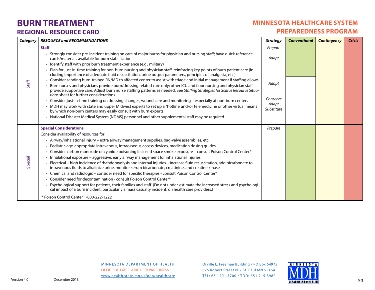### **MINNESOTA HEALTHCARE SYSTEM PREPAREDNESS PROGRAM**

| Category | <b>RESOURCE and RECOMMENDATIONS</b>                                                                                                                                                                                                                                                                                                                                     | <b>Strategy</b>                 | <b>Conventional</b> | <b>Contingency</b> | <b>Crisis</b> |
|----------|-------------------------------------------------------------------------------------------------------------------------------------------------------------------------------------------------------------------------------------------------------------------------------------------------------------------------------------------------------------------------|---------------------------------|---------------------|--------------------|---------------|
|          | <b>Staff</b>                                                                                                                                                                                                                                                                                                                                                            | Prepare                         |                     |                    |               |
|          | • Strongly consider pre-incident training on care of major burns for physician and nursing staff; have quick-reference<br>cards/materials available for burn stabilization<br>• Identify staff with prior burn treatment experience (e.g., military)                                                                                                                    | Adapt                           |                     |                    |               |
|          | • Plan for just-in-time training for non-burn nursing and physician staff, reinforcing key points of burn patient care (in-<br>cluding importance of adequate fluid resuscitation, urine output parameters, principles of analgesia, etc.)<br>• Consider sending burn-trained RN/MD to affected center to assist with triage and initial management if staffing allows. |                                 |                     |                    |               |
| Staff    | • Burn nurses and physicians provide burn/dressing related care only; other ICU and floor nursing and physician staff<br>provide supportive care. Adjust burn nurse staffing patterns as needed. See Staffing Strategies for Scarce Resource Situa-<br>tions sheet for further considerations                                                                           | Adapt                           |                     |                    |               |
|          | • Consider just-in-time training on dressing changes, wound care and monitoring - especially at non-burn centers<br>• MDH may work with state and upper Midwest experts to set up a 'hotline' and/or telemedicine or other virtual means<br>by which non-burn centers may easily consult with burn experts                                                              | Conserve<br>Adapt<br>Substitute |                     |                    |               |
|          | • National Disaster Medical System (NDMS) personnel and other supplemental staff may be required                                                                                                                                                                                                                                                                        |                                 |                     |                    |               |
|          | <b>Special Considerations</b>                                                                                                                                                                                                                                                                                                                                           | Prepare                         |                     |                    |               |
|          | Consider availability of resources for:                                                                                                                                                                                                                                                                                                                                 |                                 |                     |                    |               |
|          | · Airway/inhalational injury – extra airway management supplies, bag-valve assemblies, etc.                                                                                                                                                                                                                                                                             |                                 |                     |                    |               |
|          | • Pediatric age-appropriate intravenous, intraosseous access devices, medication dosing guides                                                                                                                                                                                                                                                                          |                                 |                     |                    |               |
|          | • Consider carbon monoxide or cyanide poisoning if closed space smoke exposure - consult Poison Control Center*                                                                                                                                                                                                                                                         |                                 |                     |                    |               |
| Special  | • Inhalational exposure - aggressive, early airway management for inhalational injuries                                                                                                                                                                                                                                                                                 |                                 |                     |                    |               |
|          | · Electrical - high incidence of rhabdomyolysis and internal injuries - increase fluid resuscitation, add bicarbonate to<br>intravenous fluids to alkalinize urine, monitor serum bicarbonate, creatinine, and creatine kinase                                                                                                                                          |                                 |                     |                    |               |
|          | • Chemical and radiologic - consider need for specific therapies - consult Poison Control Center*                                                                                                                                                                                                                                                                       |                                 |                     |                    |               |
|          | • Consider need for decontamination - consult Poison Control Center*                                                                                                                                                                                                                                                                                                    |                                 |                     |                    |               |
|          | • Psychological support for patients, their families and staff. (Do not under-estimate the increased stress and psychologi-<br>cal impact of a burn incident, particularly a mass casualty incident, on health care providers.)                                                                                                                                         |                                 |                     |                    |               |
|          | * Poison Control Center 1-800-222-1222                                                                                                                                                                                                                                                                                                                                  |                                 |                     |                    |               |

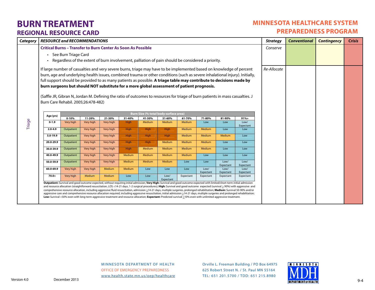# **MINNESOTA HEALTHCARE SYSTEM PREPAREDNESS PROGRAM**

MINNESOTA DEPARTMENT OF HEALTH OFFICE OF EMERGENCY PREPAREDNESSwww.health.state.mn.us/oep/healthcare

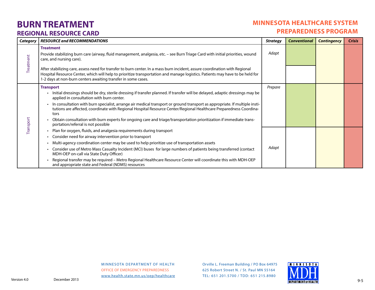# **MINNESOTA HEALTHCARE SYSTEM PREPAREDNESS PROGRAM**

| Category  | <b>RESOURCE and RECOMMENDATIONS</b>                                                                                                                                                                                                                                                                                                                                                                                                                                                                                                                                                                                        | <b>Strategy</b> | <b>Conventional</b> | <b>Contingency</b> | <b>Crisis</b> |
|-----------|----------------------------------------------------------------------------------------------------------------------------------------------------------------------------------------------------------------------------------------------------------------------------------------------------------------------------------------------------------------------------------------------------------------------------------------------------------------------------------------------------------------------------------------------------------------------------------------------------------------------------|-----------------|---------------------|--------------------|---------------|
| Treatment | <b>Treatment</b><br>Provide stabilizing burn care (airway, fluid management, analgesia, etc. - see Burn Triage Card with initial priorities, wound<br>care, and nursing care).<br>After stabilizing care, assess need for transfer to burn center. In a mass burn incident, assure coordination with Regional<br>Hospital Resource Center, which will help to prioritize transportation and manage logistics. Patients may have to be held for<br>1-2 days at non-burn centers awaiting transfer in some cases.                                                                                                            | Adapt           |                     |                    |               |
| Transport | <b>Transport</b><br>· Initial dressings should be dry, sterile dressing if transfer planned. If transfer will be delayed, adaptic dressings may be<br>applied in consultation with burn center.<br>• In consultation with burn specialist, arrange air medical transport or ground transport as appropriate. If multiple insti-<br>tutions are affected, coordinate with Regional Hospital Resource Center/Regional Healthcare Preparedness Coordina-<br>tors<br>Obtain consultation with burn experts for ongoing care and triage/transportation prioritization if immediate trans-<br>portation/referral is not possible | Prepare         |                     |                    |               |
|           | • Plan for oxygen, fluids, and analgesia requirements during transport<br>• Consider need for airway intervention prior to transport<br>• Multi-agency coordination center may be used to help prioritize use of transportation assets<br>• Consider use of Metro Mass Casualty Incident (MCI) buses for large numbers of patients being transferred (contact<br>MDH-OEP on-call via State Duty Officer)<br>Regional transfer may be required – Metro Regional Healthcare Resource Center will coordinate this with MDH-OEP<br>and appropriate state and Federal (NDMS) resources                                          | Adapt           |                     |                    |               |

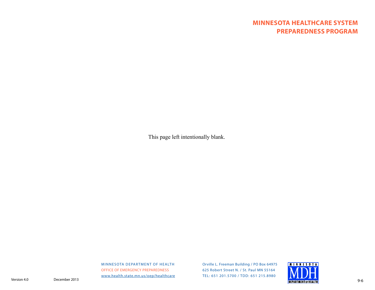# **MINNESOTA HEALTHCARE SYSTEM PREPAREDNESS PROGRAM**

This page left intentionally blank.

MINNESOTA DEPARTMENT OF HEALTH OFFICE OF EMERGENCY PREPAREDNESSwww.health.state.mn.us/oep/healthcare

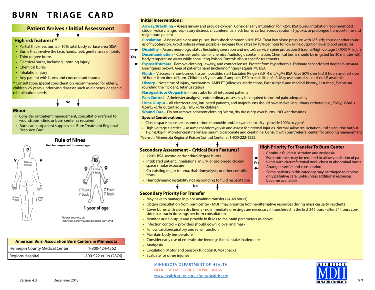# **BURN TRIAGE CARD**

#### **Patient Arrives / Initial Assessment**

#### **High risk features? \***

- Partial thickness burns > 10% total body surface area (BSA)
- Burns that involve the face, hands, feet, genital area or joints
- Third degree burns
- Electrical burns, including lightning injury
- Chemical burns
- Inhalation injury
- Any patient with burns and concomitant trauma

 **\*** Consultation/special consideration recommended for elderly, children <5 years, underlying diseases such as diabetes, or special rehabilitation needs

**No**

#### **Minor**

- Consider outpatient management, consultation/referral to wound/burn clinic or burn center as required
- Burn care outpatient supplies see Burn Treatment Regional Resource Card

**Rule of Nines**

 **Numbers expressed in percentages**9 9 18 Front 18 Bock 1 ИW 9 Fron 9 Front 9 Book 9 Bork

Figures courtesy of: Hennepin County Medical Center Burn Unit

7 Front

7 Back

18

18 Front 18 Book

1 year of age

7 Front

7 Back

| <b>American Burn Association Burn Centers in Minnesota</b> |                       |  |  |  |  |  |  |
|------------------------------------------------------------|-----------------------|--|--|--|--|--|--|
| Hennepin County Medical Center                             | 1-800-424-4262        |  |  |  |  |  |  |
| Regions Hospital                                           | 1-800-922-BURN (2876) |  |  |  |  |  |  |

#### **Initial Interventions:**

**Airway/Breathing** – Assess airway and provide oxygen. Consider early intubation for >25% BSA burns. Intubation recommended: stridor, voice change, respiratory distress, circumferential neck burns, carbonaceous sputum, hypoxia, or prolonged transport time and major burn patient

Circulation - Assess vital signs and pulses. Burn shock common >20% BSA. Treat low blood pressure with IV fluids; consider other sources of hypotension. Avoid boluses when possible - increase fluid rates by 10% per hour for low urine output or lower blood pressures

- **Disability** Assess neurologic status (including sensation and motor); cervical spine protection if trauma/high-voltage (>1000 V) injury **Decontamination** – Consider potential for chemical/radiologic contamination. Chemical burns should be irrigated for 30 minutes with body temperature water while consulting Poison Control\* about specific treatments **Yes**
	- **Expose/Estimate** Remove clothing, jewelry, and contact lenses. Protect from hypothermia. Estimate second/third degree burn area (see figures below). Area of patient's hand (including fingers) equals 1% BSA

**Fluids** - IV access in non-burned tissue if possible. Start Lactated Ringers (LR) 4 mL/kg/% BSA. Give 50% over first 8 hours and rest over 16 hours from time of burn. Children <5 years add 2 ampules D50 to each liter of LR. May use normal saline if no LR available

 **History** – Note time of injury, mechanism, AMPLET (Allergies, Medications, Past surgical and medical history, Last meal, Events surrounding the incident, Tetanus status)

**Nasogastric or Orogastric** - Insert tube for all intubated patients

**Pain Control** – Administer analgesia; extraordinary doses may be required to control pain adequately

 **Urine Output** – All electrocutions, intubated patients, and major burns should have indwelling urinary catheter (e.g., Foley). Goal is 0.5mL/kg/hr output adults, 1mL/kg/hr children

**Wound Care** – Do not remove adherent clothing. Warm, dry dressings over burns - NO wet dressings

#### **Special Considerations:**

- Closed space exposure assume carbon monoxide and/or cyanide toxicity provide 100% oxygen\*
- High-voltage electrical assume rhabdomyolysis and assess for internal injuries. Normal saline resuscitation untl clear urine output 1-2 mL/kg/hr. Monitor creatine kinase, serum bicarbonate and creatinine. Consult with burn/referral center for ongoing management

\*Consult Minnesota Regional Poison Control Center at 1-800-222-1222.

#### **Secondary Assessment – Critical Burn Features?**

- > 20% BSA second and/or third degree burns
- Intubated patient, inhalational injury, or prolonged closedspace smoke exposure
- Co-existing major trauma, rhabdomyolysis, or other complications
- Hemodynamic instability not responding to fluid resuscitation **No**

#### **High Priority For Transfer To Burn Center**

- Continue fluid resuscitation and analgesia
- Escharotomies may be required to allow ventilation of patients with circumferential neck, chest or abdominal burns**Yes**
- Arrange transfer and consultation →
	- Some patients in this category may be triaged to receive only palliative care (until/unless additional resources become available)

- **Secondary Priority For Transfer**
- May have to manage in place awaiting transfer (24-48 hours)
- Obtain consultation from burn center MDH may organize hotline/alternative resources during mass casualty incidents
- Cover burns with clean dry linens no immediate dressings are necessary if transferred in the first 24 hours after 24 hours consider bacitracin dressings per burn consultation
- Monitor urine output and provide IV fluids to maintain parameters as above
- Infection control providers should gown, glove, and mask
- Follow cardiorespiratory and renal function
- Maintain body temperature
- Consider early use of enteral/tube feedings if oral intake inadequate
- Analgesia
- Circulation, Motor and Sensory function (CMS) checks
- Evaluate for other injuries

MINNESOTA DEPARTMENT OF HEALTH OFFICE OF EMERGENCY PREPAREDNESSwww.health.state.mn.us/oep/healthcare

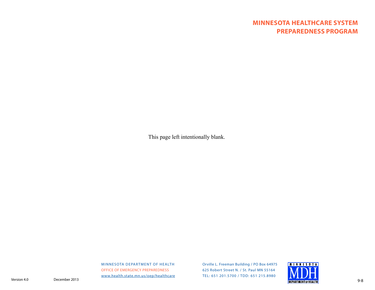# **MINNESOTA HEALTHCARE SYSTEM PREPAREDNESS PROGRAM**

This page left intentionally blank.

MINNESOTA DEPARTMENT OF HEALTH OFFICE OF EMERGENCY PREPAREDNESSwww.health.state.mn.us/oep/healthcare

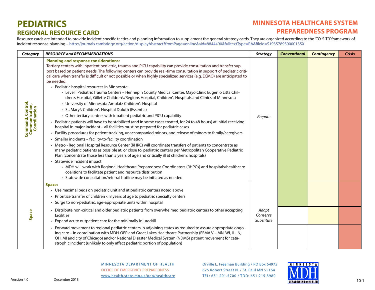# **PEDIATRICSREGIONAL RESOURCE CARD**

# **MINNESOTA HEALTHCARE SYSTEM PREPAREDNESS PROGRAM**

Resource cards are intended to provide incident-specific tactics and planning information to supplement the general strategy cards. They are organized according to the 'CO-S-TR' framework of i**ncident response planning** – http://journals.cambridge.org/action/displayAbstract?fromPage=online&aid=8844490&fulltextType=RA&fileId=S193578930000135X

| <b>Category</b>                                     | <b>RESOURCE and RECOMMENDATIONS</b>                                                                                                                                                                                                                                                                                                                                                                                                                                                                                                                                                                                                                                                                                                                                                                                                                                                                                                                                                                                                                                                                                                                                                                                                                                                                                                                                                                                                                                                                                                                                                                                                                                                                                                                                                                                                                                                        | <b>Strategy</b>                 | <b>Conventional</b> | <b>Contingency</b> | <b>Crisis</b> |
|-----------------------------------------------------|--------------------------------------------------------------------------------------------------------------------------------------------------------------------------------------------------------------------------------------------------------------------------------------------------------------------------------------------------------------------------------------------------------------------------------------------------------------------------------------------------------------------------------------------------------------------------------------------------------------------------------------------------------------------------------------------------------------------------------------------------------------------------------------------------------------------------------------------------------------------------------------------------------------------------------------------------------------------------------------------------------------------------------------------------------------------------------------------------------------------------------------------------------------------------------------------------------------------------------------------------------------------------------------------------------------------------------------------------------------------------------------------------------------------------------------------------------------------------------------------------------------------------------------------------------------------------------------------------------------------------------------------------------------------------------------------------------------------------------------------------------------------------------------------------------------------------------------------------------------------------------------------|---------------------------------|---------------------|--------------------|---------------|
| Command, Control,<br>Communication,<br>Coordination | <b>Planning and response considerations:</b><br>Tertiary centers with inpatient pediatric, trauma and PICU capability can provide consultation and transfer sup-<br>port based on patient needs. The following centers can provide real-time consultation in support of pediatric criti-<br>cal care when transfer is difficult or not possible or when highly specialized services (e.g. ECMO) are anticipated to<br>be needed.<br>• Pediatric hospital resources in Minnesota:<br>• Level I Pediatric Trauma Centers - Hennepin County Medical Center, Mayo Clinic Eugenio Litta Chil-<br>dren's Hospital, Gillette Children's/Regions Hospital, Children's Hospitals and Clinics of Minnesota<br>• University of Minnesota Amplatz Children's Hospital<br>• St. Mary's Children's Hospital Duluth (Essentia)<br>• Other tertiary centers with inpatient pediatric and PICU capability<br>• Pediatric patients will have to be stabilized (and in some cases treated, for 24 to 48 hours) at initial receiving<br>hospital in major incident - all facilities must be prepared for pediatric cases<br>· Facility procedures for patient tracking, unaccompanied minors, and release of minors to family/caregivers<br>• Smaller incidents - facility-to-facility coordination<br>• Metro - Regional Hospital Resource Center (RHRC) will coordinate transfers of patients to concentrate as<br>many pediatric patients as possible at, or close to, pediatric centers per Metropolitan Cooperative Pediatric<br>Plan (concentrate those less than 5 years of age and critically ill at children's hospitals)<br>• Statewide incident impact<br>• MDH will work with Regional Healthcare Preparedness Coordinators (RHPCs) and hospitals/healthcare<br>coalitions to facilitate patient and resource distribution<br>• Statewide consultation/referral hotline may be initiated as needed | Prepare                         |                     |                    |               |
| Space                                               | <b>Space:</b><br>• Use maximal beds on pediatric unit and at pediatric centers noted above<br>• Prioritize transfer of children < 8 years of age to pediatric specialty centers<br>• Surge to non-pediatric, age-appropriate units within hospital<br>• Distribute non-critical and older pediatric patients from overwhelmed pediatric centers to other accepting<br>facilities<br>Expand acute outpatient care for the minimally injured/ill<br>• Forward movement to regional pediatric centers in adjoining states as required to assure appropriate ongo-<br>ing care - in coordination with MDH-OEP and Great Lakes Healthcare Partnership (FEMA V - MN, WI, IL, IN,<br>OH, MI and city of Chicago) and/or National Disaster Medical System (NDMS) patient movement for cata-<br>strophic incident (unlikely to only affect pediatric portion of population)                                                                                                                                                                                                                                                                                                                                                                                                                                                                                                                                                                                                                                                                                                                                                                                                                                                                                                                                                                                                                         | Adapt<br>Conserve<br>Substitute |                     |                    |               |

#### MINNESOTA DEPARTMENT OF HEALTH OFFICE OF EMERGENCY PREPAREDNESSwww.health.state.mn.us/oep/healthcare

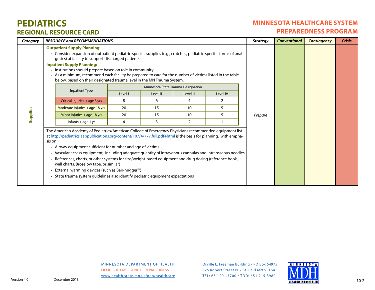# **PEDIATRICSREGIONAL RESOURCE CARD**

### **MINNESOTA HEALTHCARE SYSTEM PREPAREDNESS PROGRAM**

| Category | <b>RESOURCE and RECOMMENDATIONS</b><br><b>Strategy</b>                                                                                                                                                                                                                                                                                                                                                                                                                                                                                                                                                                                                                                                                    |         |                                    |                 |          |  | <b>Conventional</b> | <b>Contingency</b> | <b>Crisis</b> |
|----------|---------------------------------------------------------------------------------------------------------------------------------------------------------------------------------------------------------------------------------------------------------------------------------------------------------------------------------------------------------------------------------------------------------------------------------------------------------------------------------------------------------------------------------------------------------------------------------------------------------------------------------------------------------------------------------------------------------------------------|---------|------------------------------------|-----------------|----------|--|---------------------|--------------------|---------------|
|          | <b>Outpatient Supply Planning:</b><br>• Consider expansion of outpatient pediatric-specific supplies (e.g., crutches, pediatric-specific forms of anal-<br>gesics) at facility to support discharged patients<br><b>Inpatient Supply Planning:</b><br>• Institutions should prepare based on role in community<br>• As a minimum, recommend each facility be prepared to care for the number of victims listed in the table<br>below, based on their designated trauma level in the MN Trauma System.                                                                                                                                                                                                                     |         |                                    |                 |          |  |                     |                    |               |
|          | Inpatient Type                                                                                                                                                                                                                                                                                                                                                                                                                                                                                                                                                                                                                                                                                                            |         | Minnesota State Trauma Designation |                 |          |  |                     |                    |               |
|          |                                                                                                                                                                                                                                                                                                                                                                                                                                                                                                                                                                                                                                                                                                                           | Level I | Level II                           | Level III       | Level IV |  |                     |                    |               |
|          | Critical Injuries < age 8 yrs                                                                                                                                                                                                                                                                                                                                                                                                                                                                                                                                                                                                                                                                                             | 8       | 6                                  | 4               | 2        |  | Prepare             |                    |               |
|          | Moderate Injuries < age 18 yrs                                                                                                                                                                                                                                                                                                                                                                                                                                                                                                                                                                                                                                                                                            | 20      | 15                                 | 10              | 5        |  |                     |                    |               |
| Supplies | Minor Injuries < age 18 yrs                                                                                                                                                                                                                                                                                                                                                                                                                                                                                                                                                                                                                                                                                               | 20      | 15                                 | 10 <sup>°</sup> | 5        |  |                     |                    |               |
|          | Infants $<$ age 1 yr                                                                                                                                                                                                                                                                                                                                                                                                                                                                                                                                                                                                                                                                                                      | 4       | 3                                  | $\overline{2}$  |          |  |                     |                    |               |
|          | The American Academy of Pediatrics/American College of Emergency Physicians recommended equipment list<br>at http://pediatrics.aappublications.org/content/107/4/777.full.pdf+html is the basis for planning, with empha-<br>sis on:<br>• Airway equipment sufficient for number and age of victims<br>• Vascular access equipment, including adequate quantity of intravenous cannulas and intraosseous needles<br>· References, charts, or other systems for size/weight-based equipment and drug dosing (reference book,<br>wall charts, Broselow tape, or similar)<br>External warming devices (such as Bair-hugger <sup>™</sup> )<br>• State trauma system guidelines also identify pediatric equipment expectations |         |                                    |                 |          |  |                     |                    |               |

MINNESOTA DEPARTMENT OF HEALTH OFFICE OF EMERGENCY PREPAREDNESSwww.health.state.mn.us/oep/healthcare

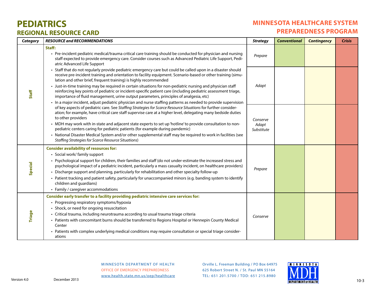# **PEDIATRICS REGIONAL RESOURCE CARD**

### **MINNESOTA HEALTHCARE SYSTEM PREPAREDNESS PROGRAM**

| <b>Category</b> | <b>RESOURCE and RECOMMENDATIONS</b>                                                                                                                                                                                                                                                                                                                                                                                                                                                                                                                                                                                                                                                                                                                    | <b>Strategy</b>                 | <b>Conventional</b> | <b>Contingency</b> | <b>Crisis</b> |
|-----------------|--------------------------------------------------------------------------------------------------------------------------------------------------------------------------------------------------------------------------------------------------------------------------------------------------------------------------------------------------------------------------------------------------------------------------------------------------------------------------------------------------------------------------------------------------------------------------------------------------------------------------------------------------------------------------------------------------------------------------------------------------------|---------------------------------|---------------------|--------------------|---------------|
|                 | Staff:<br>• Pre-incident pediatric medical/trauma critical care training should be conducted for physician and nursing<br>staff expected to provide emergency care. Consider courses such as Advanced Pediatric Life Support, Pedi-<br>atric Advanced Life Support                                                                                                                                                                                                                                                                                                                                                                                                                                                                                     | Prepare                         |                     |                    |               |
| <b>Staff</b>    | • Staff that do not regularly provide pediatric emergency care but could be called upon in a disaster should<br>receive pre-incident training and orientation to facility equipment. Scenario-based or other training (simu-<br>lation and other brief, frequent training) is highly recommended                                                                                                                                                                                                                                                                                                                                                                                                                                                       |                                 |                     |                    |               |
|                 | • Just-in-time training may be required in certain situations for non-pediatric nursing and physician staff<br>reinforcing key points of pediatric or incident-specific patient care (including pediatric assessment triage,<br>importance of fluid management, urine output parameters, principles of analgesia, etc)                                                                                                                                                                                                                                                                                                                                                                                                                                 | Adapt                           |                     |                    |               |
|                 | • In a major incident, adjust pediatric physician and nurse staffing patterns as needed to provide supervision<br>of key aspects of pediatric care. See Staffing Strategies for Scarce Resource Situations for further consider-<br>ation; for example, have critical care staff supervise care at a higher level, delegating many bedside duties<br>to other providers<br>• MDH may work with in-state and adjacent state experts to set up 'hotline' to provide consultation to non-<br>pediatric centers caring for pediatric patients (for example during pandemic)<br>• National Disaster Medical System and/or other supplemental staff may be required to work in facilities (see<br><b>Staffing Strategies for Scarce Resource Situations)</b> | Conserve<br>Adapt<br>Substitute |                     |                    |               |
| Special         | <b>Consider availability of resources for:</b><br>• Social work/family support<br>• Psychological support for children, their families and staff (do not under-estimate the increased stress and<br>psychological impact of a pediatric incident, particularly a mass casualty incident, on healthcare providers)<br>• Discharge support and planning, particularly for rehabilitation and other specialty follow-up<br>• Patient tracking and patient safety, particularly for unaccompanied minors (e.g. banding system to identify<br>children and guardians)<br>• Family / caregiver accommodations                                                                                                                                                | Prepare                         |                     |                    |               |
| <b>Triage</b>   | Consider early transfer to a facility providing pediatric intensive care services for:<br>• Progressing respiratory symptoms/hypoxia<br>• Shock, or need for ongoing resuscitation<br>• Critical trauma, including neurotrauma according to usual trauma triage criteria<br>• Patients with concomitant burns should be transferred to Regions Hospital or Hennepin County Medical<br>Center<br>• Patients with complex underlying medical conditions may require consultation or special triage consider-<br>ations                                                                                                                                                                                                                                   | Conserve                        |                     |                    |               |

#### MINNESOTA DEPARTMENT OF HEALTH OFFICE OF EMERGENCY PREPAREDNESSwww.health.state.mn.us/oep/healthcare

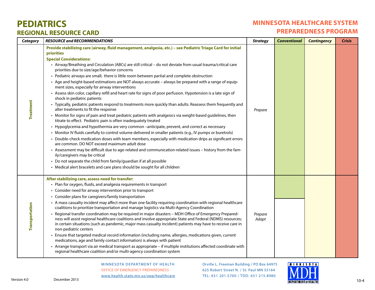# **PEDIATRICS REGIONAL RESOURCE CARD**

### **MINNESOTA HEALTHCARE SYSTEM PREPAREDNESS PROGRAM**

| Category         | <b>RESOURCE and RECOMMENDATIONS</b>                                                                                                                                                                                                                                                                                                                                                                                                                                                                                                                                                                                                                                                                                                                                                                                                                                                                                                                                                                                                                                                                                                                                                                                                                                                                                                                                                                                                                                                                                                                                                                                                                                                                                                                                    | <b>Strategy</b>  | <b>Conventional</b> | <b>Contingency</b> | <b>Crisis</b> |
|------------------|------------------------------------------------------------------------------------------------------------------------------------------------------------------------------------------------------------------------------------------------------------------------------------------------------------------------------------------------------------------------------------------------------------------------------------------------------------------------------------------------------------------------------------------------------------------------------------------------------------------------------------------------------------------------------------------------------------------------------------------------------------------------------------------------------------------------------------------------------------------------------------------------------------------------------------------------------------------------------------------------------------------------------------------------------------------------------------------------------------------------------------------------------------------------------------------------------------------------------------------------------------------------------------------------------------------------------------------------------------------------------------------------------------------------------------------------------------------------------------------------------------------------------------------------------------------------------------------------------------------------------------------------------------------------------------------------------------------------------------------------------------------------|------------------|---------------------|--------------------|---------------|
| <b>Treatment</b> | Provide stabilizing care (airway, fluid management, analgesia, etc.) - see Pediatric Triage Card for initial<br>priorities<br><b>Special Considerations:</b><br>• Airway/Breathing and Circulation (ABCs) are still critical - do not deviate from usual trauma/critical care<br>priorities due to size/age/behavior concerns<br>• Pediatric airways are small; there is little room between partial and complete obstruction<br>• Age and height-based estimations are NOT always accurate - always be prepared with a range of equip-<br>ment sizes, especially for airway interventions<br>• Assess skin color, capillary refill and heart rate for signs of poor perfusion. Hypotension is a late sign of<br>shock in pediatric patients<br>• Typically, pediatric patients respond to treatments more quickly than adults. Reassess them frequently and<br>alter treatments to fit the response<br>• Monitor for signs of pain and treat pediatric patients with analgesics via weight-based guidelines, then<br>titrate to effect. Pediatric pain is often inadequately treated<br>• Hypoglycemia and hypothermia are very common -anticipate, prevent, and correct as necessary<br>· Monitor IV fluids carefully to control volume delivered in smaller patients (e.g., IV pumps or buretrols)<br>• Double-check medication doses with team members, especially with medication drips as significant errors<br>are common. DO NOT exceed maximum adult dose<br>- Assessment may be difficult due to age-related and communication-related issues - history from the fam-<br>ily/caregivers may be critical<br>• Do not separate the child from family/guardian if at all possible<br>• Medical alert bracelets and care plans should be sought for all children | Prepare          |                     |                    |               |
| Transportation   | After stabilizing care, assess need for transfer:<br>• Plan for oxygen, fluids, and analgesia requirements in transport<br>• Consider need for airway intervention prior to transport<br>• Consider plans for caregivers/family transportation<br>• A mass casualty incident may affect more than one facility requiring coordination with regional healthcare<br>coalitions to prioritize transportation and manage logistics via Multi-Agency Coordination<br>Regional transfer coordination may be required in major disasters - MDH Office of Emergency Prepared-<br>ness will assist regional healthcare coalitions and involve appropriate State and Federal (NDMS) resources;<br>in certain situations (such as pandemic, major mass casualty incident) patients may have to receive care in<br>non-pediatric centers<br>• Ensure that targeted medical record information (including name, allergies, medications given, current<br>medications, age and family contact information) is always with patient<br>• Arrange transport via air medical transport as appropriate - if multiple institutions affected coordinate with<br>regional healthcare coalition and/or multi-agency coordination system                                                                                                                                                                                                                                                                                                                                                                                                                                                                                                                                                       | Prepare<br>Adapt |                     |                    |               |

#### MINNESOTA DEPARTMENT OF HEALTH OFFICE OF EMERGENCY PREPAREDNESSwww.health.state.mn.us/oep/healthcare

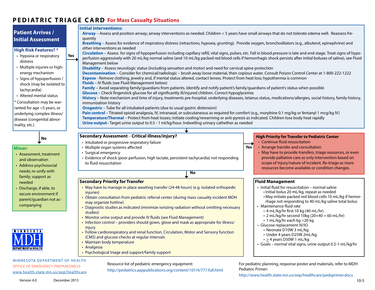# PEDIATRIC TRIAGE CARD For Mass Casualty Situations

| Disability - Assess neurologic status (including sensation and motor) and need for cervical spine protection<br>energy mechanism<br>Decontamination - Consider for chemical/radiologic - brush away loose material, then copious water. Consult Poison Control Center at 1-800-222-1222<br>Expose - Remove clothing, jewelry and, if mental status altered, contact lenses. Protect from heat loss; hypothermia is common<br>· Signs of hypoperfusion /<br>Fluids - IV fluids (see Fluid Management below)<br>shock (may be isolated to<br>Family - Avoid separating family/guardians from patients. Identify and notify patient's family/guardians of patient's status when possible<br>tachycardia)<br>Glucose - Check fingerstick glucose for all significantly ill/injured children. Correct hypoglycemia<br>• Altered mental status<br>History - Note mechanism and time of injury, treatments pre-hospital, underlying diseases, tetanus status, medications/allergies, social history, family history,<br>* Consultation may be war-<br>immunization history<br>ranted for age <5 years, or<br><b>Orogastric</b> - Tube for all intubated patients (due to usual gastric distension)<br>Pain control - Titrated opioid analgesia, IV, intranasal, or subcutaneous as required for comfort (e.g., morphine 0.1 mg/kg or fentanyl 1 mcg/kg IV)<br>underlying complex illness/<br>Temperature/Thermal - Protect from heat losses; initiate cooling/rewarming or anti-pyresis as indicated. Children lose body heat rapidly<br>disease (congenital abnor-<br>Urine output-Target urine output to 0.5 - 1 ml/kg/hour. Indwelling urinary cathether as needed<br>mality, etc.)                                                                 |
|-------------------------------------------------------------------------------------------------------------------------------------------------------------------------------------------------------------------------------------------------------------------------------------------------------------------------------------------------------------------------------------------------------------------------------------------------------------------------------------------------------------------------------------------------------------------------------------------------------------------------------------------------------------------------------------------------------------------------------------------------------------------------------------------------------------------------------------------------------------------------------------------------------------------------------------------------------------------------------------------------------------------------------------------------------------------------------------------------------------------------------------------------------------------------------------------------------------------------------------------------------------------------------------------------------------------------------------------------------------------------------------------------------------------------------------------------------------------------------------------------------------------------------------------------------------------------------------------------------------------------------------------------------------------------------------------------------------------------------------------------|
|                                                                                                                                                                                                                                                                                                                                                                                                                                                                                                                                                                                                                                                                                                                                                                                                                                                                                                                                                                                                                                                                                                                                                                                                                                                                                                                                                                                                                                                                                                                                                                                                                                                                                                                                                 |
| Secondary Assessment - Critical illness/injury?<br><b>High Priority for Transfer to Pediatric Center</b><br>No<br>• Continue fluid resuscitation<br>• Intubated or progressive respiratory failure<br>• Arrange transfer and consultation<br>Yes<br>• Multiple organ systems affected<br><b>Minor:</b><br>• May have to provide transfers, triage resources, or even<br>· Surgical emergency<br>• Assessment, treatment<br>provide palliative care as only intervention based on<br>• Evidence of shock (poor perfusion, high lactate, persistent tachycardia) not responding<br>and observation<br>scope of injury/nature of incident. Re-triage as more<br>to fluid resuscitation<br>• Address psychosocial<br>resources become available or condition changes.<br>needs; re-unify with<br>No                                                                                                                                                                                                                                                                                                                                                                                                                                                                                                                                                                                                                                                                                                                                                                                                                                                                                                                                                 |
| family; support as<br><b>Secondary Priority for Transfer</b><br><b>Fluid Management</b><br>needed<br>• Initial fluid for resuscitation - normal saline<br>• May have to manage in place awaiting transfer (24-48 hours) (e.g. isolated orthopedic<br>Discharge, if able, to<br>· Initial bolus 20 mL/kg, repeat as needed<br>injuries)<br>secure environment if<br>• May initiate packed red blood cells 10 mL/kg if hemor-<br>• Obtain consultation from pediatric referral center (during mass casualty incident MDH<br>parent/guardian not ac-<br>rhage not responding to 40 mL/kg saline total bolus<br>may organize hotline)<br>companying<br>• Maintenance fluid rate<br>• Diagnostic studies as indicated (minimize ionizing radiation without omitting necessary<br>· 4 mL/kg/hr first 10 kg (40 mL/hr)<br>studies)<br>• 2 mL/kg/hr second 10kg (20+40 = 60 mL/hr)<br>• Monitor urine output and provide IV fluids (see Fluid Management)<br>• 1 mL/kg/hr each kg > 20 kg<br>• Infection control - providers should gown, glove and mask as appropriate for illness/<br>· Glucose replacement IV/IO<br>injury<br>• Neonate D10W 3 mL/kg<br><b>MINNESOTA</b><br>• Follow cardiorespiratory and renal function, Circulation, Motor and Sensory function<br>• Under 4 years D25W 2mL/kg<br>(CMS) and glucose checks at regular intervals<br>$\cdot$ $\geq$ 4 years D50W 1 mL/kg<br>• Maintain body temperature<br>· Goals - normal vital signs, urine output 0.5-1 mL/kg/hr<br>• Analgesia<br><b>DEPARTMENT OF HEALTH</b><br>• Psychological triage and support/family support<br>MINNESOTA DEPARTMENT OF HEALTH<br>Resource list of pediatric emergency equipment:<br>For pediatric planning, response poster and materials, refer to MDH |

www.health.state.mn.us/oep/healthcare

http://pediatrics.aappublications.org/content/107/4/777.full.html

http://www.health.state.mn.us/oep/healthcare/pedsprimer.docx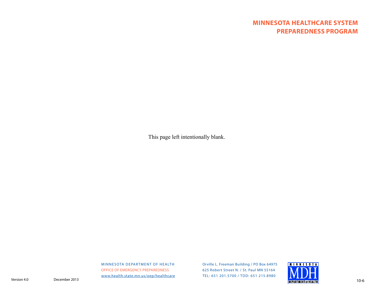# **MINNESOTA HEALTHCARE SYSTEM PREPAREDNESS PROGRAM**

This page left intentionally blank.

MINNESOTA DEPARTMENT OF HEALTH OFFICE OF EMERGENCY PREPAREDNESSwww.health.state.mn.us/oep/healthcare

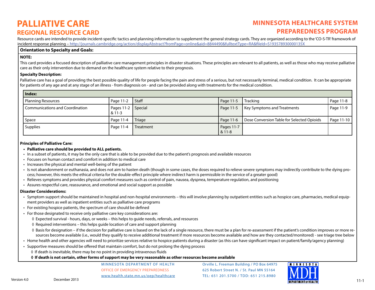# **MINNESOTA HEALTHCARE SYSTEM PREPAREDNESS PROGRAM**

Resource cards are intended to provide incident-specific tactics and planning information to supplement the general strategy cards. They are organized according to the 'CO-S-TR' framework of incident response planning – http://journals.cambridge.org/action/displayAbstract?fromPage=online&aid=8844490&fulltextType=RA&fileId=S193578930000135X

#### **Orientation to Specialty and Goals:**

#### **NOTE:**

This card provides a focused description of palliative care management principles in disaster situations. These principles are relevant to all patients, as well as those who may receive palliative care as their only intervention due to demand on the healthcare system relative to their prognosis.

#### **Specialty Description:**

Palliative care has a goal of providing the best possible quality of life for people facing the pain and stress of a serious, but not necessarily terminal, medical condition. It can be appropriate for patients of any age and at any stage of an illness - from diagnosis on - and can be provided along with treatments for the medical condition.

| Index:                                 |                                |           |                       |                                            |            |
|----------------------------------------|--------------------------------|-----------|-----------------------|--------------------------------------------|------------|
| <b>Planning Resources</b>              | Page 11-2                      | Staff     | l Page 11-5           | <b>Tracking</b>                            | Page 11-8  |
| <b>Communications and Coordination</b> | Pages 11-2   Special<br>& 11-3 |           | $Paqe$ 11-5           | Key Symptoms and Treatments                | Page 11-9  |
| Space                                  | Page 11-4                      | Triage    | l Page 11-6           | Dose Conversion Table for Selected Opioids | Page 11-10 |
| Supplies                               | Page 11-4                      | Treatment | Pages 11-7<br>$811-8$ |                                            |            |

#### **Principles of Palliative Care:**

- **Palliative care should be provided to ALL patients.**
- In a subset of patients, it may be the only care that is able to be provided due to the patient's prognosis and available resources
- Focuses on human contact and comfort in addition to medical care
- Increases the physical and mental well-being of the patient
- Is not abandonment or euthanasia, and does not aim to hasten death (though in some cases, the doses required to relieve severe symptoms may indirectly contribute to the dying process; however, this meets the ethical criteria for the double-effect principle where indirect harm is permissible in the service of a greater good)
- Relieves symptoms and provides physical comfort measures such as control of pain, nausea, dyspnea, temperature regulation, and positioning
- Assures respectful care, reassurance, and emotional and social support as possible

#### **Disaster Considerations:**

- Symptom support should be maintained in hospital and non-hospital environments this will involve planning by outpatient entities such as hospice care, pharmacies, medical equipment providers as well as inpatient entities such as palliative care programs
- $\cdot$  For existing hospice patients, the spectrum of care should be defined
- For those designated to receive only palliative care key considerations are:
	- ◊ Expected survival hours, days, or weeks this helps to guide needs, referrals, and resources
	- ◊ Required interventions this helps guide location of care and support planning
	- ◊ Basis for designation if the decision for palliative care is based on the lack of a single resource, there must be a plan for re-assessment if the patient's condition improves or more resources become available (i.e., would they qualify to receive additional treatment if more resources become available and how are they contacted/monitored) - see triage tree below
- Home health and other agencies will need to prioritize services relative to hospice patients during a disaster (as this can have significant impact on patient/family/agency planning)
- Supportive measures should be offered that maintain comfort, but do not prolong the dying process
	- $\Diamond$  If death is inevitable, there may be no point in providing intravenous fluids

#### **◊ If death is not certain, other forms of support may be very reasonable as other resources become available**

#### MINNESOTA DEPARTMENT OF HEALTH OFFICE OF EMERGENCY PREPAREDNESSwww.health.state.mn.us/oep/healthcare

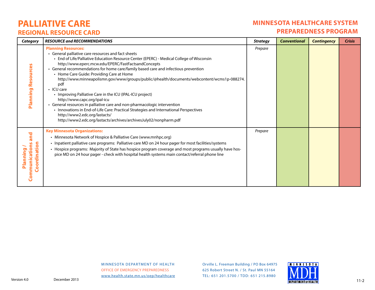### **MINNESOTA HEALTHCARE SYSTEM PREPAREDNESS PROGRAM**

| Category                                          | <b>RESOURCE and RECOMMENDATIONS</b>                                                                                                                                                                                                                                                                                                                                                                                                                                                                                                                                                                                                                                                                                                                                                                                                                                          | <b>Strategy</b> | <b>Conventional</b> | <b>Contingency</b> | <b>Crisis</b> |
|---------------------------------------------------|------------------------------------------------------------------------------------------------------------------------------------------------------------------------------------------------------------------------------------------------------------------------------------------------------------------------------------------------------------------------------------------------------------------------------------------------------------------------------------------------------------------------------------------------------------------------------------------------------------------------------------------------------------------------------------------------------------------------------------------------------------------------------------------------------------------------------------------------------------------------------|-----------------|---------------------|--------------------|---------------|
| g<br>Resour<br>Planning                           | <b>Planning Resources:</b><br>• General palliative care resources and fact sheets<br>• End of Life/Palliative Education Resource Center (EPERC) - Medical College of Wisconsin<br>http://www.eperc.mcw.edu/EPERC/FastFactsandConcepts<br>• General recommendations for home care/family based care and infectious prevention<br>• Home Care Guide: Providing Care at Home<br>http://www.minneapolismn.gov/www/groups/public/@health/documents/webcontent/wcms1p-088274.<br>pdf<br>$\cdot$ ICU care<br>• Improving Palliative Care in the ICU (IPAL-ICU project)<br>http://www.capc.org/ipal-icu<br>• General resources in palliative care and non-pharmacologic intervention<br>• Innovations in End-of-Life Care: Practical Strategies and International Perspectives<br>http://www2.edc.org/lastacts/<br>http://www2.edc.org/lastacts/archives/archivesJuly02/nonpharm.pdf | Prepare         |                     |                    |               |
| and<br>Communications<br>Coordination<br>Planning | <b>Key Minnesota Organizations:</b><br>• Minnesota Network of Hospice & Palliative Care (www.mnhpc.org)<br>• Inpatient palliative care programs: Palliative care MD on 24 hour pager for most facilities/systems<br>• Hospice programs: Majority of State has hospice program coverage and most programs usually have hos-<br>pice MD on 24 hour pager - check with hospital health systems main contact/referral phone line                                                                                                                                                                                                                                                                                                                                                                                                                                                 | Prepare         |                     |                    |               |

MINNESOTA DEPARTMENT OF HEALTH OFFICE OF EMERGENCY PREPAREDNESSwww.health.state.mn.us/oep/healthcare

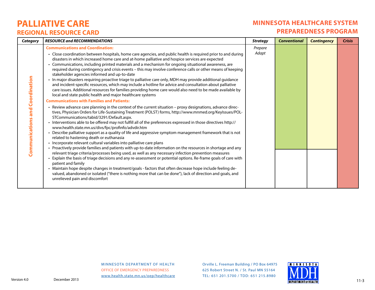### **MINNESOTA HEALTHCARE SYSTEM PREPAREDNESS PROGRAM**

| <b>Category</b>                        | <b>RESOURCE and RECOMMENDATIONS</b>                                                                                                                                                                                                                                                                                                                                                                                                                                                                                                                                                                                                                                                                                                                                                                                                                                                                                                                                                                                                                                                                                                                                                                                                                                                                                                                                                                                                                                                                                                                                                                                                                                                                                                                                                                                                                                                                                                                                                                                                                                                                                                                                                                                                                                                                                 | <b>Strategy</b>  | <b>Conventional</b> | <b>Contingency</b> | <b>Crisis</b> |
|----------------------------------------|---------------------------------------------------------------------------------------------------------------------------------------------------------------------------------------------------------------------------------------------------------------------------------------------------------------------------------------------------------------------------------------------------------------------------------------------------------------------------------------------------------------------------------------------------------------------------------------------------------------------------------------------------------------------------------------------------------------------------------------------------------------------------------------------------------------------------------------------------------------------------------------------------------------------------------------------------------------------------------------------------------------------------------------------------------------------------------------------------------------------------------------------------------------------------------------------------------------------------------------------------------------------------------------------------------------------------------------------------------------------------------------------------------------------------------------------------------------------------------------------------------------------------------------------------------------------------------------------------------------------------------------------------------------------------------------------------------------------------------------------------------------------------------------------------------------------------------------------------------------------------------------------------------------------------------------------------------------------------------------------------------------------------------------------------------------------------------------------------------------------------------------------------------------------------------------------------------------------------------------------------------------------------------------------------------------------|------------------|---------------------|--------------------|---------------|
| <b>Communications and Coordination</b> | <b>Communications and Coordination:</b><br>• Close coordination between hospitals, home care agencies, and public health is required prior to and during<br>disasters in which increased home care and at-home palliative and hospice services are expected<br>• Communications, including printed materials and a mechanism for ongoing situational awareness, are<br>required during contingency and crisis events - this may involve conference calls or other means of keeping<br>stakeholder agencies informed and up-to-date<br>• In major disasters requiring proactive triage to palliative care only, MDH may provide additional guidance<br>and incident-specific resources, which may include a hotline for advice and consultation about palliative<br>care issues. Additional resources for families providing home care would also need to be made available by<br>local and state public health and major healthcare systems<br><b>Communications with Families and Patients:</b><br>• Review advance care planning in the context of the current situation - proxy designations, advance direc-<br>tives, Physician Orders for Life-Sustaining Treatment (POLST) forms, http://www.mnmed.org/Keylssues/POL-<br>STCommunications/tabid/3291/Default.aspx.<br>· Interventions able to be offered may not fulfill all of the preferences expressed in those directives http://<br>www.health.state.mn.us/divs/fpc/profinfo/advdir.htm<br>• Describe palliative support as a quality of life and aggressive symptom management framework that is not<br>related to hastening death or euthanasia<br>• Incorporate relevant cultural variables into palliative care plans<br>• Proactively provide families and patients with up-to-date information on the resources in shortage and any<br>relevant triage criteria/processes being used, as well as any necessary infection prevention measures<br>• Explain the basis of triage decisions and any re-assessment or potential options. Re-frame goals of care with<br>patient and family<br>- Maintain hope despite changes in treatment/goals - factors that often decrease hope include feeling de-<br>valued, abandoned or isolated ("there is nothing more that can be done"), lack of direction and goals, and<br>unrelieved pain and discomfort | Prepare<br>Adapt |                     |                    |               |

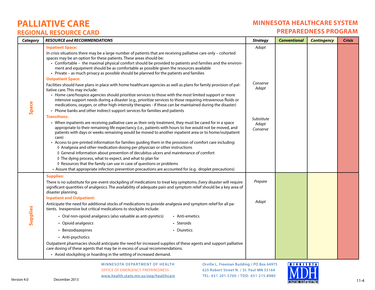### **MINNESOTA HEALTHCARE SYSTEM PREPAREDNESS PROGRAM**

| <b>Category</b> | <b>RESOURCE and RECOMMENDATIONS</b>                                                                                                                                                                                                                                                                                                                                                                                                                                                                                                                                                                                                                                                                                                                                                                                                                                                                  | <b>Strategy</b>                 | <b>Conventional</b> | <b>Contingency</b> | <b>Crisis</b> |
|-----------------|------------------------------------------------------------------------------------------------------------------------------------------------------------------------------------------------------------------------------------------------------------------------------------------------------------------------------------------------------------------------------------------------------------------------------------------------------------------------------------------------------------------------------------------------------------------------------------------------------------------------------------------------------------------------------------------------------------------------------------------------------------------------------------------------------------------------------------------------------------------------------------------------------|---------------------------------|---------------------|--------------------|---------------|
|                 | <b>Inpatient Space:</b><br>In crisis situations there may be a large number of patients that are receiving palliative care only - cohorted<br>spaces may be an option for these patients. These areas should be:<br>• Comfortable - the maximal physical comfort should be provided to patients and families and the environ-<br>ment and equipment should be as comfortable as possible given the resources available<br>• Private - as much privacy as possible should be planned for the patients and families                                                                                                                                                                                                                                                                                                                                                                                    | Adapt                           |                     |                    |               |
| <b>Space</b>    | <b>Outpatient Space:</b><br>Facilities should have plans in place with home healthcare agencies as well as plans for family provision of pal-<br>liative care. This may include:<br>• Home care/hospice agencies should prioritize services to those with the most limited support or more<br>intensive support needs during a disaster (e.g., prioritize services to those requiring intravenous fluids or<br>medications, oxygen, or other high-intensity therapies - if these can be maintained during the disaster)<br>• Phone banks and other indirect support services for families and patients                                                                                                                                                                                                                                                                                               | Conserve<br>Adapt               |                     |                    |               |
|                 | <b>Transitions:</b><br>• When inpatients are receiving palliative care as their only treatment, they must be cared for in a space<br>appropriate to their remaining life expectancy (i.e., patients with hours to live would not be moved, and<br>patients with days or weeks remaining would be moved to another inpatient area or to home/outpatient<br>care)<br>• Access to pre-printed information for families guiding them in the provision of comfort care including:<br>◊ Analgesia and other medication dosing per physician or other instructions<br>◊ General information about prevention of decubitus ulcers and maintenance of comfort<br>◊ The dying process, what to expect, and what to plan for<br>◊ Resources that the family can use in case of questions or problems<br>· Assure that appropriate infection prevention precautions are accounted for (e.g. droplet precautions) | Substitute<br>Adapt<br>Conserve |                     |                    |               |
|                 | <b>Supplies:</b><br>There is no substitute for pre-event stockpiling of medications to treat key symptoms. Every disaster will require<br>significant quantities of analgesics. The availability of adequate pain and symptom relief should be a key area of<br>disaster planning.<br><b>Inpatient and Outpatient:</b><br>Anticipate the need for additional stocks of medications to provide analgesia and symptom relief for all pa-<br>tients. Inexpensive but critical medications to stockpile include:                                                                                                                                                                                                                                                                                                                                                                                         | Prepare<br>Adapt                |                     |                    |               |
| Supplies        | • Oral non-opioid analgesics (also valuable as anti-pyretics)<br>• Anti-emetics<br>• Opioid analgesics<br>• Steroids<br>• Benzodiazepines<br>• Diuretics<br>• Anti-psychotics<br>Outpatient pharmacies should anticipate the need for increased supplies of these agents and support palliative<br>care dosing of these agents that may be in excess of usual recommendations.<br>• Avoid stockpiling or hoarding in the setting of increased demand.                                                                                                                                                                                                                                                                                                                                                                                                                                                |                                 |                     |                    |               |

#### MINNESOTA DEPARTMENT OF HEALTH OFFICE OF EMERGENCY PREPAREDNESSwww.health.state.mn.us/oep/healthcare

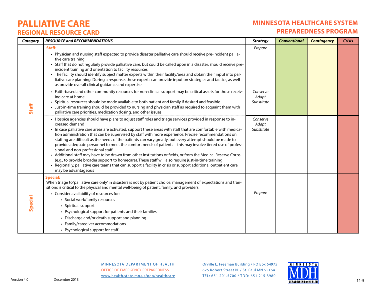### **MINNESOTA HEALTHCARE SYSTEM PREPAREDNESS PROGRAM**

| Category       | <b>RESOURCE and RECOMMENDATIONS</b>                                                                                                                                                                                                                                                                                                                                                                                                                                                                                                                                                                                                                                                                                                                                                                                                                                                                                                                                                     | <b>Strategy</b>                 | <b>Conventional</b> | <b>Contingency</b> | <b>Crisis</b> |
|----------------|-----------------------------------------------------------------------------------------------------------------------------------------------------------------------------------------------------------------------------------------------------------------------------------------------------------------------------------------------------------------------------------------------------------------------------------------------------------------------------------------------------------------------------------------------------------------------------------------------------------------------------------------------------------------------------------------------------------------------------------------------------------------------------------------------------------------------------------------------------------------------------------------------------------------------------------------------------------------------------------------|---------------------------------|---------------------|--------------------|---------------|
| <b>Staff</b>   | Staff:<br>Physician and nursing staff expected to provide disaster palliative care should receive pre-incident pallia-<br>tive care training<br>• Staff that do not regularly provide palliative care, but could be called upon in a disaster, should receive pre-<br>incident training and orientation to facility resources<br>• The facility should identify subject matter experts within their facility/area and obtain their input into pal-<br>liative care planning. During a response, these experts can provide input on strategies and tactics, as well<br>as provide overall clinical guidance and expertise                                                                                                                                                                                                                                                                                                                                                                | Prepare                         |                     |                    |               |
|                | • Faith-based and other community resources for non-clinical support may be critical assets for those receiv-<br>ing care at home<br>• Spiritual resources should be made available to both patient and family if desired and feasible<br>• Just-in-time training should be provided to nursing and physician staff as required to acquaint them with<br>palliative care priorities, medication dosing, and other issues                                                                                                                                                                                                                                                                                                                                                                                                                                                                                                                                                                | Conserve<br>Adapt<br>Substitute |                     |                    |               |
|                | • Hospice agencies should have plans to adjust staff roles and triage services provided in response to in-<br>creased demand<br>• In case palliative care areas are activated, support these areas with staff that are comfortable with medica-<br>tion administration that can be supervised by staff with more experience. Precise recommendations on<br>staffing are difficult as the needs of the patients can vary greatly, but every attempt should be made to<br>provide adequate personnel to meet the comfort needs of patients - this may involve tiered use of profes-<br>sional and non-professional staff<br>• Additional staff may have to be drawn from other institutions or fields, or from the Medical Reserve Corps<br>(e.g., to provide broader support to homecare). These staff will also require just-in-time training<br>• Regionally, palliative care teams that can support a facility in crisis or support additional outpatient care<br>may be advantageous | Conserve<br>Adapt<br>Substitute |                     |                    |               |
| <b>Special</b> | <b>Special:</b><br>When triage to 'palliative care only' in disasters is not by patient choice, management of expectations and tran-<br>sitions is critical to the physical and mental well-being of patient, family, and providers.<br>• Consider availability of resources for:<br>• Social work/family resources<br>• Spiritual support<br>• Psychological support for patients and their families<br>• Discharge and/or death support and planning<br>• Family/caregiver accommodations<br>• Psychological support for staff                                                                                                                                                                                                                                                                                                                                                                                                                                                        | Prepare                         |                     |                    |               |

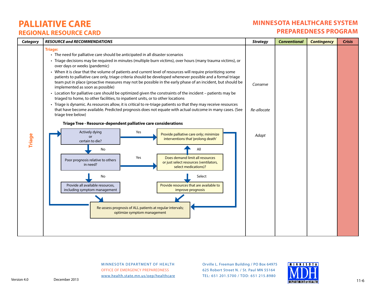# **MINNESOTA HEALTHCARE SYSTEM PREPAREDNESS PROGRAM**

| Category      | <b>RESOURCE and RECOMMENDATIONS</b>                                                                                                                                                                                                                                                                                                                                                                                                                                                                                                                                                                                                                                                                                                                                                                                                                                                                                                                                                                                                                                                                                                                        | <b>Strategy</b>         | <b>Conventional</b> | <b>Contingency</b> | <b>Crisis</b> |
|---------------|------------------------------------------------------------------------------------------------------------------------------------------------------------------------------------------------------------------------------------------------------------------------------------------------------------------------------------------------------------------------------------------------------------------------------------------------------------------------------------------------------------------------------------------------------------------------------------------------------------------------------------------------------------------------------------------------------------------------------------------------------------------------------------------------------------------------------------------------------------------------------------------------------------------------------------------------------------------------------------------------------------------------------------------------------------------------------------------------------------------------------------------------------------|-------------------------|---------------------|--------------------|---------------|
|               | <b>Triage:</b><br>• The need for palliative care should be anticipated in all disaster scenarios<br>· Triage decisions may be required in minutes (multiple burn victims), over hours (many trauma victims), or<br>over days or weeks (pandemic)<br>• When it is clear that the volume of patients and current level of resources will require prioritizing some<br>patients to palliative care only, triage criteria should be developed whenever possible and a formal triage<br>team put in place (proactive measures may not be possible in the early phase of an incident, but should be<br>implemented as soon as possible)<br>• Location for palliative care should be optimized given the constraints of the incident - patients may be<br>triaged to home, to other facilities, to inpatient units, or to other locations<br>• Triage is dynamic. As resources allow, it is critical to re-triage patients so that they may receive resources<br>that have become available. Predicted prognosis does not equate with actual outcome in many cases. (See<br>triage tree below)<br>Triage Tree - Resource-dependent palliative care considerations | Conserve<br>Re-allocate |                     |                    |               |
| <b>Triage</b> | Actively dying<br>Yes<br>Provide palliative care only; minimize<br>or<br>interventions that 'prolong death'<br>certain to die?<br>No<br>All<br>Yes<br>Does demand limit all resources<br>Poor prognosis relative to others<br>or just select resources (ventilators,<br>in need?<br>select medications)?<br>Select<br>No<br>Provide all available resources,<br>Provide resources that are available to<br>including symptom management<br>improve prognosis<br>Re-assess prognosis of ALL patients at regular intervals;<br>optimize symptom management                                                                                                                                                                                                                                                                                                                                                                                                                                                                                                                                                                                                   | Adapt                   |                     |                    |               |

MINNESOTA DEPARTMENT OF HEALTH OFFICE OF EMERGENCY PREPAREDNESSwww.health.state.mn.us/oep/healthcare

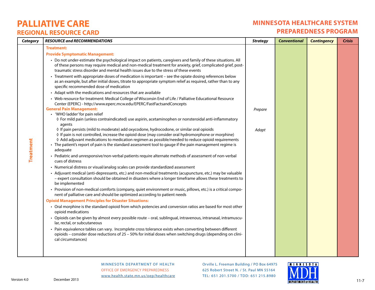### **MINNESOTA HEALTHCARE SYSTEM PREPAREDNESS PROGRAM**

| Category         | <b>RESOURCE and RECOMMENDATIONS</b>                                                                                                                                                                                                                                                                                 | <b>Strategy</b> | <b>Conventional</b> | <b>Contingency</b> | <b>Crisis</b> |
|------------------|---------------------------------------------------------------------------------------------------------------------------------------------------------------------------------------------------------------------------------------------------------------------------------------------------------------------|-----------------|---------------------|--------------------|---------------|
|                  | <b>Treatment:</b>                                                                                                                                                                                                                                                                                                   |                 |                     |                    |               |
|                  | <b>Provide Symptomatic Management:</b>                                                                                                                                                                                                                                                                              |                 |                     |                    |               |
|                  | • Do not under-estimate the psychological impact on patients, caregivers and family of these situations. All<br>of these persons may require medical and non-medical treatment for anxiety, grief, complicated grief, post-<br>traumatic stress disorder and mental health issues due to the stress of these events |                 |                     |                    |               |
|                  | • Treatment with appropriate doses of medication is important - see the opiate dosing references below<br>as an example, but after initial doses, titrate to appropriate symptom relief as required, rather than to any<br>specific recommended dose of medication                                                  |                 |                     |                    |               |
|                  | • Adapt with the medications and resources that are available                                                                                                                                                                                                                                                       |                 |                     |                    |               |
|                  | • Web resource for treatment: Medical College of Wisconsin End of Life / Palliative Educational Resource<br>Center (EPERC) - http://www.eperc.mcw.edu/EPERC/FastFactsandConcepts                                                                                                                                    |                 |                     |                    |               |
|                  | <b>General Pain Management:</b>                                                                                                                                                                                                                                                                                     | Prepare         |                     |                    |               |
|                  | • 'WHO ladder' for pain relief                                                                                                                                                                                                                                                                                      |                 |                     |                    |               |
|                  | ◊ For mild pain (unless contraindicated) use aspirin, acetaminophen or nonsteroidal anti-inflammatory<br>agents                                                                                                                                                                                                     |                 |                     |                    |               |
|                  | ◊ If pain persists (mild to moderate) add oxycodone, hydrocodone, or similar oral opioids                                                                                                                                                                                                                           | Adapt           |                     |                    |               |
|                  | ◊ If pain is not controlled, increase the opioid dose (may consider oral hydromorphone or morphine)                                                                                                                                                                                                                 |                 |                     |                    |               |
| <b>Treatment</b> | ◊ Add adjuvant medications to medication regimen as possible/needed to reduce opioid requirements<br>• The patient's report of pain is the standard assessment tool to gauge if the pain management regime is<br>adequate                                                                                           |                 |                     |                    |               |
|                  | • Pediatric and unresponsive/non-verbal patients require alternate methods of assessment of non-verbal<br>cues of distress                                                                                                                                                                                          |                 |                     |                    |               |
|                  | • Numerical distress or visual/analog scales can provide standardized assessment                                                                                                                                                                                                                                    |                 |                     |                    |               |
|                  | · Adjuvant medical (anti-depressants, etc.) and non-medical treatments (acupuncture, etc.) may be valuable<br>- expert consultation should be obtained in disasters where a longer timeframe allows these treatments to<br>be implemented                                                                           |                 |                     |                    |               |
|                  | • Provision of non-medical comforts (company, quiet environment or music, pillows, etc.) is a critical compo-<br>nent of palliative care and should be optimized according to patient needs                                                                                                                         |                 |                     |                    |               |
|                  | <b>Opioid Management Principles for Disaster Situations:</b>                                                                                                                                                                                                                                                        |                 |                     |                    |               |
|                  | • Oral morphine is the standard opioid from which potencies and conversion ratios are based for most other<br>opioid medications                                                                                                                                                                                    |                 |                     |                    |               |
|                  | · Opioids can be given by almost every possible route - oral, sublingual, intravenous, intranasal, intramuscu-<br>lar, rectal, or subcutaneous                                                                                                                                                                      |                 |                     |                    |               |
|                  | • Pain equivalence tables can vary. Incomplete cross tolerance exists when converting between different<br>opioids - consider dose reductions of 25 - 50% for initial doses when switching drugs (depending on clini-<br>cal circumstances)                                                                         |                 |                     |                    |               |
|                  |                                                                                                                                                                                                                                                                                                                     |                 |                     |                    |               |

#### MINNESOTA DEPARTMENT OF HEALTH OFFICE OF EMERGENCY PREPAREDNESSwww.health.state.mn.us/oep/healthcare

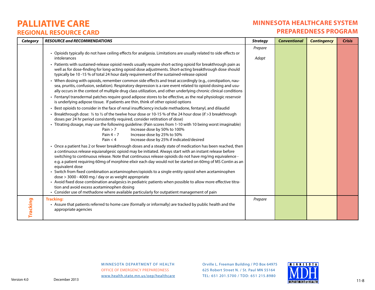# **MINNESOTA HEALTHCARE SYSTEM PREPAREDNESS PROGRAM**

| Category        | <b>RESOURCE and RECOMMENDATIONS</b>                                                                                                                                                                                                                                                                                                                                                                                                                            | <b>Strategy</b>  | <b>Conventional</b> | <b>Contingency</b> | <b>Crisis</b> |
|-----------------|----------------------------------------------------------------------------------------------------------------------------------------------------------------------------------------------------------------------------------------------------------------------------------------------------------------------------------------------------------------------------------------------------------------------------------------------------------------|------------------|---------------------|--------------------|---------------|
|                 | • Opioids typically do not have ceiling effects for analgesia. Limitations are usually related to side effects or<br>intolerances                                                                                                                                                                                                                                                                                                                              | Prepare<br>Adapt |                     |                    |               |
|                 | • Patients with sustained-release opioid needs usually require short-acting opioid for breakthrough pain as<br>well as for dose-finding for long-acting opioid dose adjustments. Short-acting breakthrough dose should<br>typically be 10-15 % of total 24 hour daily requirement of the sustained-release opioid                                                                                                                                              |                  |                     |                    |               |
|                 | • When dosing with opioids, remember common side effects and treat accordingly (e.g., constipation, nau-<br>sea, pruritis, confusion, sedation). Respiratory depression is a rare event related to opioid dosing and usu-<br>ally occurs in the context of multiple drug class utilization, and other underlying chronic clinical conditions                                                                                                                   |                  |                     |                    |               |
|                 | • Fentanyl transdermal patches require good adipose stores to be effective, as the real physiologic reservoir<br>is underlying adipose tissue. If patients are thin, think of other opioid options                                                                                                                                                                                                                                                             |                  |                     |                    |               |
|                 | • Best opioids to consider in the face of renal insufficiency include methadone, fentanyl, and dilaudid                                                                                                                                                                                                                                                                                                                                                        |                  |                     |                    |               |
|                 | Breakthrough dose: 1/3 to 1/2 of the twelve hour dose or 10-15 % of the 24 hour dose (if >3 breakthrough<br>doses per 24 hr period consistently required, consider retitration of dose)<br>· Titrating dosage, may use the following guideline: (Pain scores from 1-10 with 10 being worst imaginable)<br>Pain $> 7$<br>Increase dose by 50% to 100%<br>Increase dose by 25% to 50%<br>Pain $4 - 7$<br>Increase dose by 25% if indicated/desired<br>Pain $<$ 4 |                  |                     |                    |               |
|                 | Once a patient has 2 or fewer breakthrough doses and a steady state of medication has been reached, then<br>a continuous release equianalgesic opioid may be initiated. Always start with an instant release before<br>switching to continuous release. Note that continuous release opioids do not have mg/mg equivalence -<br>e.g. a patient requiring 60mg of morphine elixir each day would not be started on 60mg of MS Contin as an<br>equivalent dose   |                  |                     |                    |               |
|                 | • Switch from fixed combination acetaminophen/opioids to a single entity opioid when acetaminophen<br>dose > 3000 - 4000 mg / day or as weight appropriate<br>• Avoid fixed dose combination analgesics in pediatric patients when possible to allow more effective titra-<br>tion and avoid excess acetaminophen dosing<br>• Consider use of methadone where available particularly for outpatient management of pain                                         |                  |                     |                    |               |
| <b>Tracking</b> | <b>Tracking:</b><br>• Assure that patients referred to home care (formally or informally) are tracked by public health and the<br>appropriate agencies                                                                                                                                                                                                                                                                                                         | Prepare          |                     |                    |               |

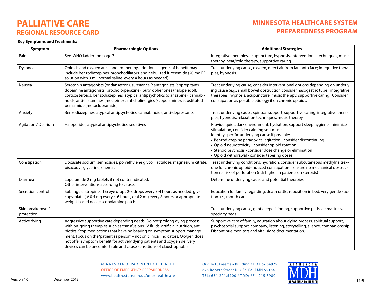# **MINNESOTA HEALTHCARE SYSTEM PREPAREDNESS PROGRAM**

#### **Key Symptoms and Treatments:**

| Symptom                        | <b>Pharmacologic Options</b>                                                                                                                                                                                                                                                                                                                                                                                                                                                             | <b>Additional Strategies</b>                                                                                                                                                                                                                                                                                                                                                                                     |
|--------------------------------|------------------------------------------------------------------------------------------------------------------------------------------------------------------------------------------------------------------------------------------------------------------------------------------------------------------------------------------------------------------------------------------------------------------------------------------------------------------------------------------|------------------------------------------------------------------------------------------------------------------------------------------------------------------------------------------------------------------------------------------------------------------------------------------------------------------------------------------------------------------------------------------------------------------|
| Pain                           | See 'WHO ladder' on page 7                                                                                                                                                                                                                                                                                                                                                                                                                                                               | Integrative therapies, acupuncture, hypnosis, interventional techniques, music<br>therapy, heat/cold therapy, supportive caring                                                                                                                                                                                                                                                                                  |
| Dyspnea                        | Opioids and oxygen are standard therapy, additional agents of benefit may<br>include benzodiazepines, bronchodilators, and nebulized furosemide (20 mg IV<br>solution with 3 mL normal saline every 4 hours as needed)                                                                                                                                                                                                                                                                   | Treat underlying cause, oxygen, direct air from fan onto face; integrative thera-<br>pies, hypnosis.                                                                                                                                                                                                                                                                                                             |
| Nausea                         | Serotonin antagonists (ondansetron), substance P antagonists (apprepitant),<br>dopamine antagonists (procholorperazine), butyrophenones (haloperidol),<br>corticosteroids, benzodiazepines, atypical antipsychotics (olanzapine), cannabi-<br>noids, anti-histamines (meclizine), anticholinergics (scopolamine), substituted<br>benzamide (metoclopramide)                                                                                                                              | Treat underlying cause; consider interventional options depending on underly-<br>ing cause (e.g., small bowel obstruction consider nasogastric tube), integrative<br>therapies, hypnosis, acupuncture, music therapy, supportive caring. Consider<br>constipation as possible etiology if on chronic opioids.                                                                                                    |
| Anxiety                        | Benzodiazepines, atypical antipsychotics, cannabinoids, anti-depressants                                                                                                                                                                                                                                                                                                                                                                                                                 | Treat underlying cause, spiritual support, supportive caring, integrative thera-<br>pies, hypnosis, relaxation techniques, music therapy                                                                                                                                                                                                                                                                         |
| Agitation / Delirium           | Haloperidol, atypical antipsychotics, sedatives                                                                                                                                                                                                                                                                                                                                                                                                                                          | Provide quiet, dark environment, hydration, support sleep hygiene, minimize<br>stimulation, consider calming soft music<br>Identify specific underlying cause if possible:<br>• Benzodiazepine paradoxical agitation - consider discontinuing<br>· Opioid neurotoxicity - consider opioid rotation<br>• Steroid psychosis - consider dose change or elimination<br>• Opioid withdrawal - consider tapering doses |
| Constipation                   | Docusate sodium, sennosides, polyethylene glycol, lactulose, magnesium citrate,<br>bisacodyl, glycerine, enemas                                                                                                                                                                                                                                                                                                                                                                          | Treat underlying conditions, hydration, consider subcutaneous methylnaltrex-<br>one for chronic opioid-induced constipation - ensure no mechanical obstruc-<br>tion re: risk of perforation (risk higher in patients on steroids)                                                                                                                                                                                |
| Diarrhea                       | Loperamide 2 mg tablets if not contraindicated.<br>Other interventions according to cause.                                                                                                                                                                                                                                                                                                                                                                                               | Determine underlying cause and potential therapies                                                                                                                                                                                                                                                                                                                                                               |
| Secretion control              | Sublingual atropine; 1% eye drops 2-3 drops every 3-4 hours as needed; gly-<br>copyrolate (IV 0.4 mg every 4-6 hours, oral 2 mg every 8 hours or appropriate<br>weight-based dose); scopolamine patch                                                                                                                                                                                                                                                                                    | Education for family regarding: death rattle, reposition in bed, very gentle suc-<br>tion $+/-$ , mouth care                                                                                                                                                                                                                                                                                                     |
| Skin breakdown /<br>protection |                                                                                                                                                                                                                                                                                                                                                                                                                                                                                          | Treat underlying cause, gentle repositioning, supportive pads, air mattress,<br>specialty beds                                                                                                                                                                                                                                                                                                                   |
| Active dying                   | Aggressive supportive care depending needs. Do not 'prolong dying process'<br>with on-going therapies such as transfusions, IV fluids, artificial nutrition, anti-<br>biotics. Stop medications that have no bearing on symptom support manage-<br>ment. Focus on the 'patient as person' - not on clinical indicators. Oxygen does<br>not offer symptom benefit for actively dying patients and oxygen delivery<br>devices can be uncomfortable and cause sensations of claustrophobia. | Supportive care of family, education about dying process, spiritual support,<br>psychosocial support, company, listening, storytelling, silence, companionship.<br>Discontinue monitors and vital signs documentation.                                                                                                                                                                                           |

#### MINNESOTA DEPARTMENT OF HEALTH OFFICE OF EMERGENCY PREPAREDNESSwww.health.state.mn.us/oep/healthcare